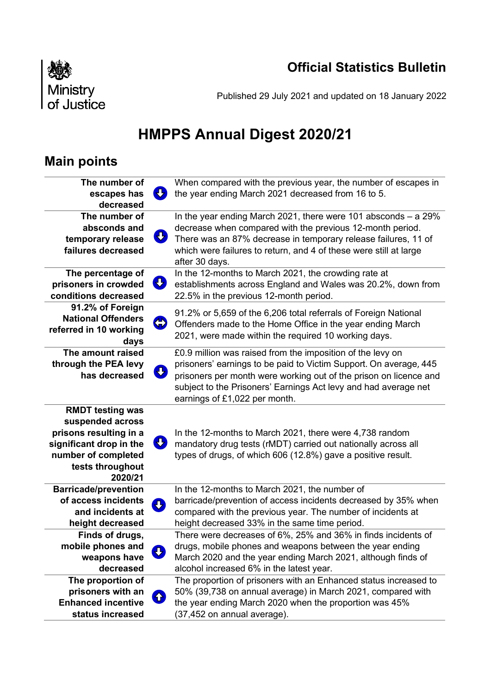# **Official Statistics Bulletin**



Published 29 July 2021 and updated on 18 January 2022

# **HMPPS Annual Digest 2020/21**

# **Main points**

| The number of                   | When compared with the previous year, the number of escapes in    |  |
|---------------------------------|-------------------------------------------------------------------|--|
| escapes has                     | the year ending March 2021 decreased from 16 to 5.                |  |
| decreased                       |                                                                   |  |
| The number of                   | In the year ending March 2021, there were 101 absconds $-$ a 29%  |  |
| absconds and                    | decrease when compared with the previous 12-month period.         |  |
| IJ<br>temporary release         | There was an 87% decrease in temporary release failures, 11 of    |  |
| failures decreased              | which were failures to return, and 4 of these were still at large |  |
|                                 | after 30 days.                                                    |  |
| The percentage of               | In the 12-months to March 2021, the crowding rate at              |  |
| IJ<br>prisoners in crowded      | establishments across England and Wales was 20.2%, down from      |  |
| conditions decreased            | 22.5% in the previous 12-month period.                            |  |
| 91.2% of Foreign                | 91.2% or 5,659 of the 6,206 total referrals of Foreign National   |  |
| <b>National Offenders</b><br>\$ |                                                                   |  |
| referred in 10 working          | Offenders made to the Home Office in the year ending March        |  |
| days                            | 2021, were made within the required 10 working days.              |  |
| The amount raised               | £0.9 million was raised from the imposition of the levy on        |  |
| through the PEA levy            | prisoners' earnings to be paid to Victim Support. On average, 445 |  |
| IJ<br>has decreased             | prisoners per month were working out of the prison on licence and |  |
|                                 | subject to the Prisoners' Earnings Act levy and had average net   |  |
|                                 | earnings of £1,022 per month.                                     |  |
| <b>RMDT testing was</b>         |                                                                   |  |
| suspended across                |                                                                   |  |
| prisons resulting in a          | In the 12-months to March 2021, there were 4,738 random           |  |
| IJ<br>significant drop in the   | mandatory drug tests (rMDT) carried out nationally across all     |  |
| number of completed             | types of drugs, of which 606 (12.8%) gave a positive result.      |  |
| tests throughout                |                                                                   |  |
| 2020/21                         |                                                                   |  |
| <b>Barricade/prevention</b>     | In the 12-months to March 2021, the number of                     |  |
| of access incidents<br>ŢŲ,      | barricade/prevention of access incidents decreased by 35% when    |  |
| and incidents at                | compared with the previous year. The number of incidents at       |  |
| height decreased                | height decreased 33% in the same time period.                     |  |
| Finds of drugs,                 | There were decreases of 6%, 25% and 36% in finds incidents of     |  |
| mobile phones and<br>┺          | drugs, mobile phones and weapons between the year ending          |  |
| weapons have                    | March 2020 and the year ending March 2021, although finds of      |  |
| decreased                       | alcohol increased 6% in the latest year.                          |  |
| The proportion of               | The proportion of prisoners with an Enhanced status increased to  |  |
| prisoners with an               | 50% (39,738 on annual average) in March 2021, compared with       |  |
| ↑<br><b>Enhanced incentive</b>  | the year ending March 2020 when the proportion was 45%            |  |
| status increased                | (37,452 on annual average).                                       |  |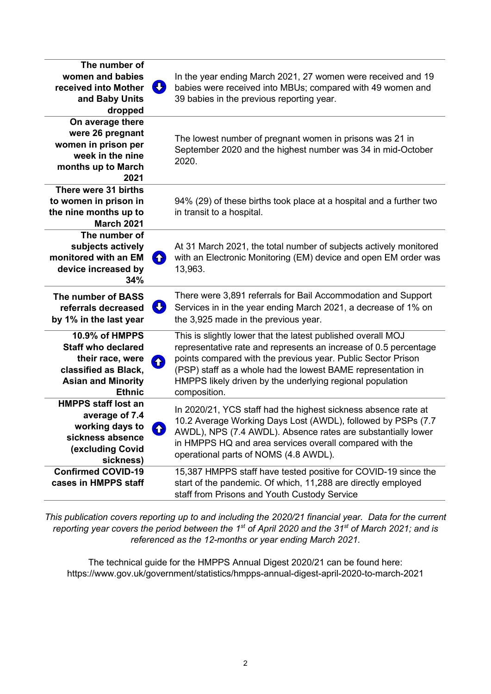| The number of                                                                                                                                |                                                                                                                                                                                                                                                                                                                                                           |
|----------------------------------------------------------------------------------------------------------------------------------------------|-----------------------------------------------------------------------------------------------------------------------------------------------------------------------------------------------------------------------------------------------------------------------------------------------------------------------------------------------------------|
| women and babies<br>received into Mother<br>and Baby Units<br>dropped                                                                        | In the year ending March 2021, 27 women were received and 19<br>J)<br>babies were received into MBUs; compared with 49 women and<br>39 babies in the previous reporting year.                                                                                                                                                                             |
| On average there<br>were 26 pregnant<br>women in prison per<br>week in the nine<br>months up to March<br>2021                                | The lowest number of pregnant women in prisons was 21 in<br>September 2020 and the highest number was 34 in mid-October<br>2020.                                                                                                                                                                                                                          |
| There were 31 births<br>to women in prison in<br>the nine months up to<br><b>March 2021</b>                                                  | 94% (29) of these births took place at a hospital and a further two<br>in transit to a hospital.                                                                                                                                                                                                                                                          |
| The number of<br>subjects actively<br>monitored with an EM<br>device increased by<br>34%                                                     | At 31 March 2021, the total number of subjects actively monitored<br>with an Electronic Monitoring (EM) device and open EM order was<br>6<br>13,963.                                                                                                                                                                                                      |
| The number of BASS<br>referrals decreased<br>by 1% in the last year                                                                          | There were 3,891 referrals for Bail Accommodation and Support<br>J)<br>Services in in the year ending March 2021, a decrease of 1% on<br>the 3,925 made in the previous year.                                                                                                                                                                             |
| <b>10.9% of HMPPS</b><br><b>Staff who declared</b><br>their race, were<br>classified as Black,<br><b>Asian and Minority</b><br><b>Ethnic</b> | This is slightly lower that the latest published overall MOJ<br>representative rate and represents an increase of 0.5 percentage<br>points compared with the previous year. Public Sector Prison<br><b>A</b><br>(PSP) staff as a whole had the lowest BAME representation in<br>HMPPS likely driven by the underlying regional population<br>composition. |
| <b>HMPPS staff lost an</b><br>average of 7.4<br>working days to<br>sickness absence<br>(excluding Covid<br>sickness)                         | In 2020/21, YCS staff had the highest sickness absence rate at<br>10.2 Average Working Days Lost (AWDL), followed by PSPs (7.7<br>AWDL), NPS (7.4 AWDL). Absence rates are substantially lower<br>m<br>in HMPPS HQ and area services overall compared with the<br>operational parts of NOMS (4.8 AWDL).                                                   |
| <b>Confirmed COVID-19</b><br>cases in HMPPS staff                                                                                            | 15,387 HMPPS staff have tested positive for COVID-19 since the<br>start of the pandemic. Of which, 11,288 are directly employed<br>staff from Prisons and Youth Custody Service                                                                                                                                                                           |

*This publication covers reporting up to and including the 2020/21 financial year. Data for the current reporting year covers the period between the 1st of April 2020 and the 31st of March 2021; and is referenced as the 12-months or year ending March 2021.*

The technical guide for the HMPPS Annual Digest 2020/21 can be found here: <https://www.gov.uk/government/statistics/hmpps-annual-digest-april-2020-to-march-2021>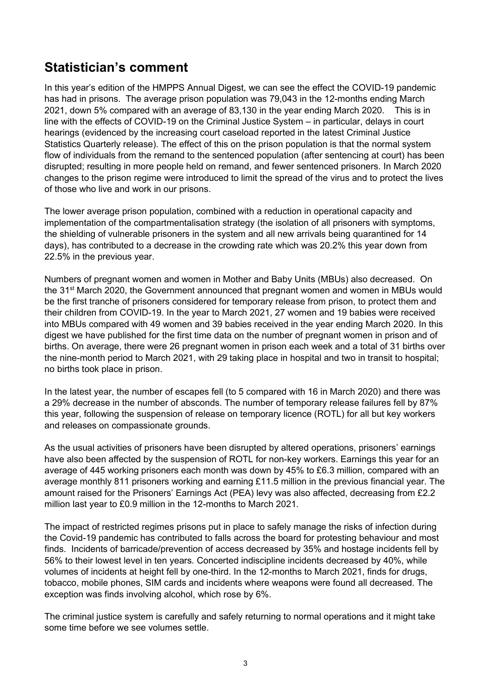# **Statistician's comment**

In this year's edition of the HMPPS Annual Digest, we can see the effect the COVID-19 pandemic has had in prisons. The average prison population was 79,043 in the 12-months ending March 2021, down 5% compared with an average of 83,130 in the year ending March 2020. This is in line with the effects of COVID-19 on the Criminal Justice System – in particular, delays in court hearings (evidenced by the increasing court caseload reported in the latest Criminal Justice Statistics Quarterly release). The effect of this on the prison population is that the normal system flow of individuals from the remand to the sentenced population (after sentencing at court) has been disrupted; resulting in more people held on remand, and fewer sentenced prisoners. In March 2020 changes to the prison regime were introduced to limit the spread of the virus and to protect the lives of those who live and work in our prisons.

The lower average prison population, combined with a reduction in operational capacity and implementation of the compartmentalisation strategy (the isolation of all prisoners with symptoms, the shielding of vulnerable prisoners in the system and all new arrivals being quarantined for 14 days), has contributed to a decrease in the crowding rate which was 20.2% this year down from 22.5% in the previous year.

Numbers of pregnant women and women in Mother and Baby Units (MBUs) also decreased. On the 31<sup>st</sup> March 2020, the Government announced that pregnant women and women in MBUs would be the first tranche of prisoners considered for temporary release from prison, to protect them and their children from COVID-19. In the year to March 2021, 27 women and 19 babies were received into MBUs compared with 49 women and 39 babies received in the year ending March 2020. In this digest we have published for the first time data on the number of pregnant women in prison and of births. On average, there were 26 pregnant women in prison each week and a total of 31 births over the nine-month period to March 2021, with 29 taking place in hospital and two in transit to hospital; no births took place in prison.

In the latest year, the number of escapes fell (to 5 compared with 16 in March 2020) and there was a 29% decrease in the number of absconds. The number of temporary release failures fell by 87% this year, following the suspension of release on temporary licence (ROTL) for all but key workers and releases on compassionate grounds.

As the usual activities of prisoners have been disrupted by altered operations, prisoners' earnings have also been affected by the suspension of ROTL for non-key workers. Earnings this year for an average of 445 working prisoners each month was down by 45% to £6.3 million, compared with an average monthly 811 prisoners working and earning £11.5 million in the previous financial year. The amount raised for the Prisoners' Earnings Act (PEA) levy was also affected, decreasing from £2.2 million last year to £0.9 million in the 12-months to March 2021.

The impact of restricted regimes prisons put in place to safely manage the risks of infection during the Covid-19 pandemic has contributed to falls across the board for protesting behaviour and most finds. Incidents of barricade/prevention of access decreased by 35% and hostage incidents fell by 56% to their lowest level in ten years. Concerted indiscipline incidents decreased by 40%, while volumes of incidents at height fell by one-third. In the 12-months to March 2021, finds for drugs, tobacco, mobile phones, SIM cards and incidents where weapons were found all decreased. The exception was finds involving alcohol, which rose by 6%.

The criminal justice system is carefully and safely returning to normal operations and it might take some time before we see volumes settle.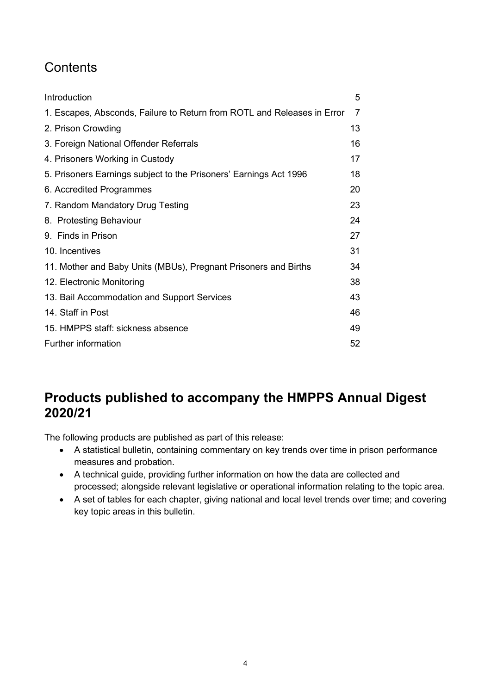# **Contents**

| Introduction                                                            | 5  |  |
|-------------------------------------------------------------------------|----|--|
| 1. Escapes, Absconds, Failure to Return from ROTL and Releases in Error | 7  |  |
| 2. Prison Crowding                                                      |    |  |
| 3. Foreign National Offender Referrals                                  | 16 |  |
| 4. Prisoners Working in Custody                                         | 17 |  |
| 5. Prisoners Earnings subject to the Prisoners' Earnings Act 1996       | 18 |  |
| 6. Accredited Programmes                                                | 20 |  |
| 7. Random Mandatory Drug Testing                                        | 23 |  |
| 8. Protesting Behaviour                                                 | 24 |  |
| 9. Finds in Prison                                                      | 27 |  |
| 10. Incentives                                                          | 31 |  |
| 11. Mother and Baby Units (MBUs), Pregnant Prisoners and Births         | 34 |  |
| 12. Electronic Monitoring                                               | 38 |  |
| 13. Bail Accommodation and Support Services                             | 43 |  |
| 14. Staff in Post                                                       | 46 |  |
| 15. HMPPS staff: sickness absence                                       | 49 |  |
| Further information                                                     |    |  |

# **Products published to accompany the HMPPS Annual Digest 2020/21**

The following products are published as part of this release:

- A statistical bulletin, containing commentary on key trends over time in prison performance measures and probation.
- A technical guide, providing further information on how the data are collected and processed; alongside relevant legislative or operational information relating to the topic area.
- A set of tables for each chapter, giving national and local level trends over time; and covering key topic areas in this bulletin.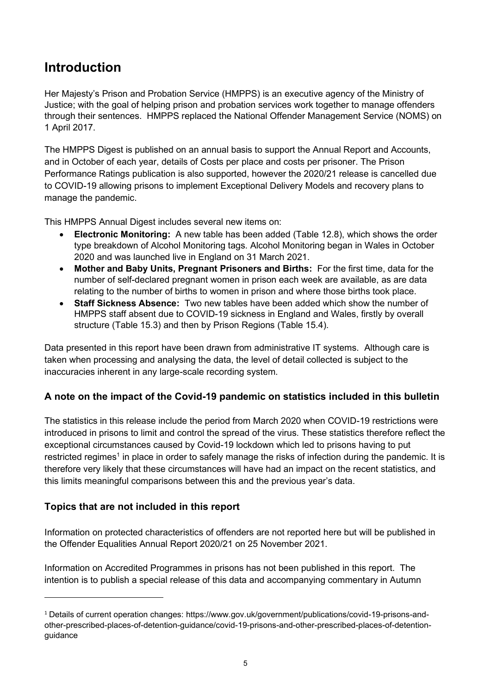# <span id="page-4-0"></span>**Introduction**

Her Majesty's Prison and Probation Service (HMPPS) is an executive agency of the Ministry of Justice; with the goal of helping prison and probation services work together to manage offenders through their sentences. HMPPS replaced the National Offender Management Service (NOMS) on 1 April 2017.

The HMPPS Digest is published on an annual basis to support the Annual Report and Accounts, and in October of each year, details of Costs per place and costs per prisoner. The Prison Performance Ratings publication is also supported, however the 2020/21 release is cancelled due to COVID-19 allowing prisons to implement Exceptional Delivery Models and recovery plans to manage the pandemic.

This HMPPS Annual Digest includes several new items on:

- **Electronic Monitoring:** A new table has been added (Table 12.8), which shows the order type breakdown of Alcohol Monitoring tags. Alcohol Monitoring began in Wales in October 2020 and was launched live in England on 31 March 2021.
- **Mother and Baby Units, Pregnant Prisoners and Births:** For the first time, data for the number of self-declared pregnant women in prison each week are available, as are data relating to the number of births to women in prison and where those births took place.
- **Staff Sickness Absence:** Two new tables have been added which show the number of HMPPS staff absent due to COVID-19 sickness in England and Wales, firstly by overall structure (Table 15.3) and then by Prison Regions (Table 15.4).

Data presented in this report have been drawn from administrative IT systems. Although care is taken when processing and analysing the data, the level of detail collected is subject to the inaccuracies inherent in any large-scale recording system.

# **A note on the impact of the Covid-19 pandemic on statistics included in this bulletin**

The statistics in this release include the period from March 2020 when COVID-19 restrictions were introduced in prisons to limit and control the spread of the virus. These statistics therefore reflect the exceptional circumstances caused by Covid-19 lockdown which led to prisons having to put restricted regimes<sup>1</sup> in place in order to safely manage the risks of infection during the pandemic. It is therefore very likely that these circumstances will have had an impact on the recent statistics, and this limits meaningful comparisons between this and the previous year's data.

# **Topics that are not included in this report**

Information on protected characteristics of offenders are not reported here but will be published in the Offender Equalities Annual Report 2020/21 on 25 November 2021.

Information on Accredited Programmes in prisons has not been published in this report. The intention is to publish a special release of this data and accompanying commentary in Autumn

<sup>1</sup> Details of current operation changes: https://www.gov.uk/government/publications/covid-19-prisons-andother-prescribed-places-of-detention-guidance/covid-19-prisons-and-other-prescribed-places-of-detentionguidance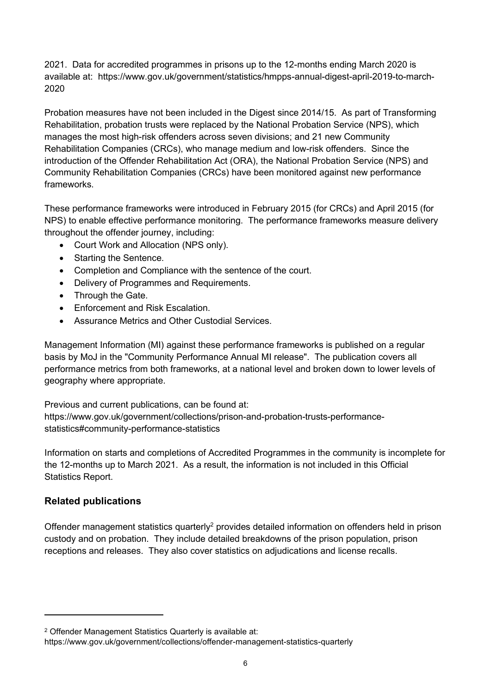2021. Data for accredited programmes in prisons up to the 12-months ending March 2020 is available at: https://www.gov.uk/government/statistics/hmpps-annual-digest-april-2019-to-march-2020

Probation measures have not been included in the Digest since 2014/15. As part of Transforming Rehabilitation, probation trusts were replaced by the National Probation Service (NPS), which manages the most high-risk offenders across seven divisions; and 21 new Community Rehabilitation Companies (CRCs), who manage medium and low-risk offenders. Since the introduction of the Offender Rehabilitation Act (ORA), the National Probation Service (NPS) and Community Rehabilitation Companies (CRCs) have been monitored against new performance frameworks.

These performance frameworks were introduced in February 2015 (for CRCs) and April 2015 (for NPS) to enable effective performance monitoring. The performance frameworks measure delivery throughout the offender journey, including:

- Court Work and Allocation (NPS only).
- Starting the Sentence.
- Completion and Compliance with the sentence of the court.
- Delivery of Programmes and Requirements.
- Through the Gate.
- Enforcement and Risk Escalation.
- Assurance Metrics and Other Custodial Services.

Management Information (MI) against these performance frameworks is published on a regular basis by MoJ in the "Community Performance Annual MI release". The publication covers all performance metrics from both frameworks, at a national level and broken down to lower levels of geography where appropriate.

Previous and current publications, can be found at: [https://www.gov.uk/government/collections/prison-and-probation-trusts-performance](https://www.gov.uk/government/collections/prison-and-probation-trusts-performance-statistics%23community-performance-statistics)[statistics#community-performance-statistics](https://www.gov.uk/government/collections/prison-and-probation-trusts-performance-statistics%23community-performance-statistics)

Information on starts and completions of Accredited Programmes in the community is incomplete for the 12-months up to March 2021. As a result, the information is not included in this Official Statistics Report.

# **Related publications**

Offender management statistics quarterly<sup>2</sup> provides detailed information on offenders held in prison custody and on probation. They include detailed breakdowns of the prison population, prison receptions and releases. They also cover statistics on adjudications and license recalls.

<sup>2</sup> Offender Management Statistics Quarterly is available at:

<https://www.gov.uk/government/collections/offender-management-statistics-quarterly>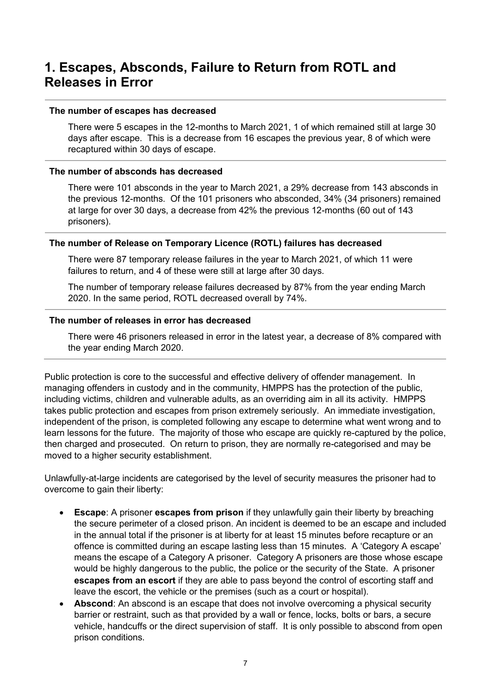# <span id="page-6-0"></span>**1. Escapes, Absconds, Failure to Return from ROTL and Releases in Error**

#### **The number of escapes has decreased**

There were 5 escapes in the 12-months to March 2021, 1 of which remained still at large 30 days after escape. This is a decrease from 16 escapes the previous year, 8 of which were recaptured within 30 days of escape.

#### **The number of absconds has decreased**

There were 101 absconds in the year to March 2021, a 29% decrease from 143 absconds in the previous 12-months. Of the 101 prisoners who absconded, 34% (34 prisoners) remained at large for over 30 days, a decrease from 42% the previous 12-months (60 out of 143 prisoners).

#### **The number of Release on Temporary Licence (ROTL) failures has decreased**

There were 87 temporary release failures in the year to March 2021, of which 11 were failures to return, and 4 of these were still at large after 30 days.

The number of temporary release failures decreased by 87% from the year ending March 2020. In the same period, ROTL decreased overall by 74%.

#### **The number of releases in error has decreased**

There were 46 prisoners released in error in the latest year, a decrease of 8% compared with the year ending March 2020.

Public protection is core to the successful and effective delivery of offender management. In managing offenders in custody and in the community, HMPPS has the protection of the public, including victims, children and vulnerable adults, as an overriding aim in all its activity. HMPPS takes public protection and escapes from prison extremely seriously. An immediate investigation, independent of the prison, is completed following any escape to determine what went wrong and to learn lessons for the future. The majority of those who escape are quickly re-captured by the police, then charged and prosecuted. On return to prison, they are normally re-categorised and may be moved to a higher security establishment.

Unlawfully-at-large incidents are categorised by the level of security measures the prisoner had to overcome to gain their liberty:

- **Escape:** A prisoner **escapes from prison** if they unlawfully gain their liberty by breaching the secure perimeter of a closed prison. An incident is deemed to be an escape and included in the annual total if the prisoner is at liberty for at least 15 minutes before recapture or an offence is committed during an escape lasting less than 15 minutes. A 'Category A escape' means the escape of a Category A prisoner. Category A prisoners are those whose escape would be highly dangerous to the public, the police or the security of the State. A prisoner **escapes from an escort** if they are able to pass beyond the control of escorting staff and leave the escort, the vehicle or the premises (such as a court or hospital).
- **Abscond**: An abscond is an escape that does not involve overcoming a physical security barrier or restraint, such as that provided by a wall or fence, locks, bolts or bars, a secure vehicle, handcuffs or the direct supervision of staff. It is only possible to abscond from open prison conditions.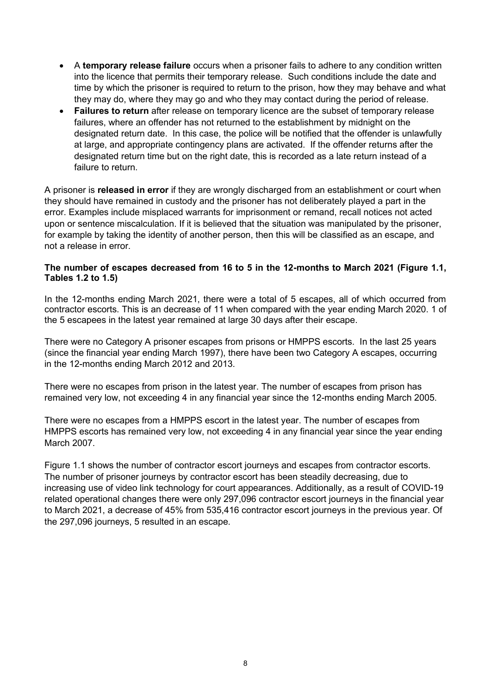- A **temporary release failure** occurs when a prisoner fails to adhere to any condition written into the licence that permits their temporary release. Such conditions include the date and time by which the prisoner is required to return to the prison, how they may behave and what they may do, where they may go and who they may contact during the period of release.
- **Failures to return** after release on temporary licence are the subset of temporary release failures, where an offender has not returned to the establishment by midnight on the designated return date. In this case, the police will be notified that the offender is unlawfully at large, and appropriate contingency plans are activated. If the offender returns after the designated return time but on the right date, this is recorded as a late return instead of a failure to return

A prisoner is **released in error** if they are wrongly discharged from an establishment or court when they should have remained in custody and the prisoner has not deliberately played a part in the error. Examples include misplaced warrants for imprisonment or remand, recall notices not acted upon or sentence miscalculation. If it is believed that the situation was manipulated by the prisoner, for example by taking the identity of another person, then this will be classified as an escape, and not a release in error.

### **The number of escapes decreased from 16 to 5 in the 12-months to March 2021 (Figure 1.1, Tables 1.2 to 1.5)**

In the 12-months ending March 2021, there were a total of 5 escapes, all of which occurred from contractor escorts. This is an decrease of 11 when compared with the year ending March 2020. 1 of the 5 escapees in the latest year remained at large 30 days after their escape.

There were no Category A prisoner escapes from prisons or HMPPS escorts. In the last 25 years (since the financial year ending March 1997), there have been two Category A escapes, occurring in the 12-months ending March 2012 and 2013.

There were no escapes from prison in the latest year. The number of escapes from prison has remained very low, not exceeding 4 in any financial year since the 12-months ending March 2005.

There were no escapes from a HMPPS escort in the latest year. The number of escapes from HMPPS escorts has remained very low, not exceeding 4 in any financial year since the year ending March 2007.

Figure 1.1 shows the number of contractor escort journeys and escapes from contractor escorts. The number of prisoner journeys by contractor escort has been steadily decreasing, due to increasing use of video link technology for court appearances. Additionally, as a result of COVID-19 related operational changes there were only 297,096 contractor escort journeys in the financial year to March 2021, a decrease of 45% from 535,416 contractor escort journeys in the previous year. Of the 297,096 journeys, 5 resulted in an escape.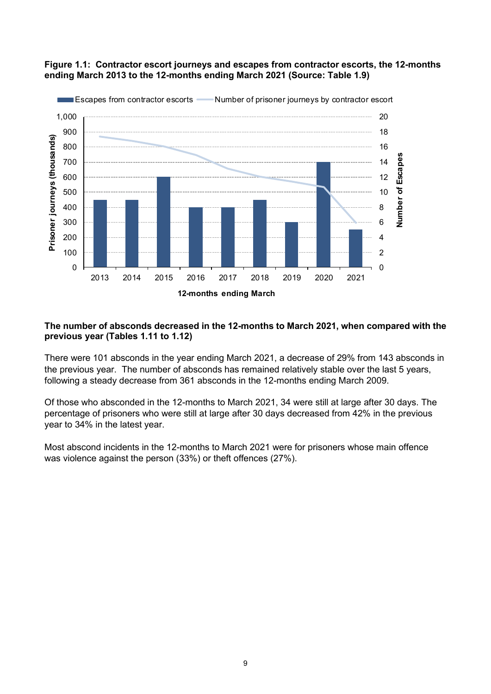

### **Figure 1.1: Contractor escort journeys and escapes from contractor escorts, the 12-months ending March 2013 to the 12-months ending March 2021 (Source: Table 1.9)**

# **The number of absconds decreased in the 12-months to March 2021, when compared with the previous year (Tables 1.11 to 1.12)**

There were 101 absconds in the year ending March 2021, a decrease of 29% from 143 absconds in the previous year. The number of absconds has remained relatively stable over the last 5 years, following a steady decrease from 361 absconds in the 12-months ending March 2009.

Of those who absconded in the 12-months to March 2021, 34 were still at large after 30 days. The percentage of prisoners who were still at large after 30 days decreased from 42% in the previous year to 34% in the latest year.

Most abscond incidents in the 12-months to March 2021 were for prisoners whose main offence was violence against the person (33%) or theft offences (27%).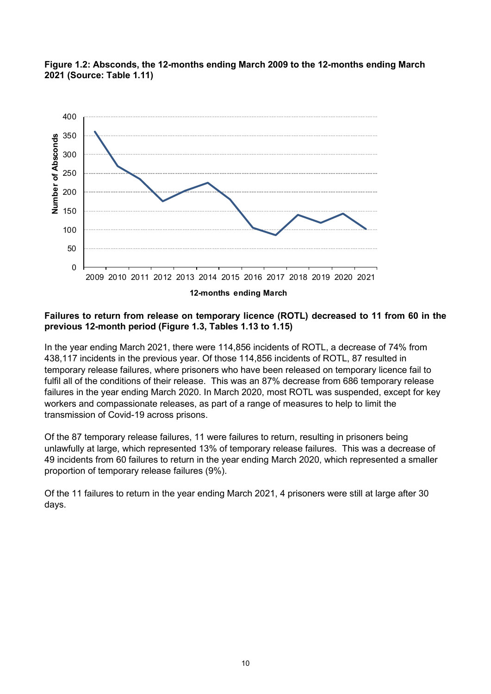

## **Figure 1.2: Absconds, the 12-months ending March 2009 to the 12-months ending March 2021 (Source: Table 1.11)**

### **Failures to return from release on temporary licence (ROTL) decreased to 11 from 60 in the previous 12-month period (Figure 1.3, Tables 1.13 to 1.15)**

In the year ending March 2021, there were 114,856 incidents of ROTL, a decrease of 74% from 438,117 incidents in the previous year. Of those 114,856 incidents of ROTL, 87 resulted in temporary release failures, where prisoners who have been released on temporary licence fail to fulfil all of the conditions of their release. This was an 87% decrease from 686 temporary release failures in the year ending March 2020. In March 2020, most ROTL was suspended, except for key workers and compassionate releases, as part of a range of measures to help to limit the transmission of Covid-19 across prisons.

Of the 87 temporary release failures, 11 were failures to return, resulting in prisoners being unlawfully at large, which represented 13% of temporary release failures. This was a decrease of 49 incidents from 60 failures to return in the year ending March 2020, which represented a smaller proportion of temporary release failures (9%).

Of the 11 failures to return in the year ending March 2021, 4 prisoners were still at large after 30 days.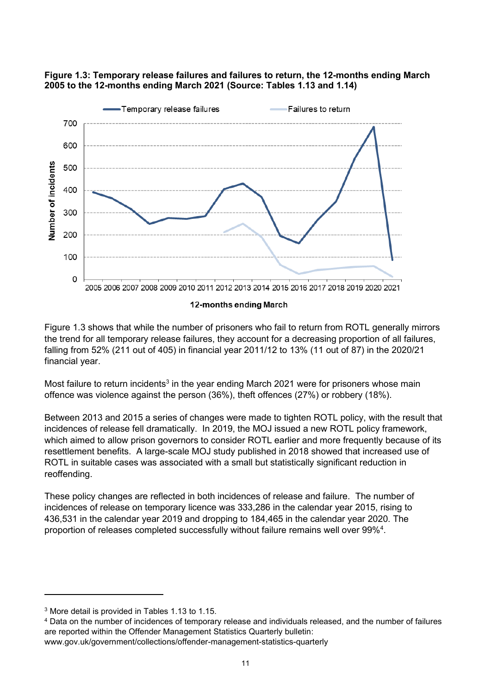



#### 12-months ending March

Figure 1.3 shows that while the number of prisoners who fail to return from ROTL generally mirrors the trend for all temporary release failures, they account for a decreasing proportion of all failures, falling from 52% (211 out of 405) in financial year 2011/12 to 13% (11 out of 87) in the 2020/21 financial year.

Most failure to return incidents<sup>3</sup> in the year ending March 2021 were for prisoners whose main offence was violence against the person (36%), theft offences (27%) or robbery (18%).

Between 2013 and 2015 a series of changes were made to tighten ROTL policy, with the result that incidences of release fell dramatically. In 2019, the MOJ issued a new ROTL policy framework, which aimed to allow prison governors to consider ROTL earlier and more frequently because of its resettlement benefits. A large-scale MOJ study published in 2018 showed that increased use of ROTL in suitable cases was associated with a small but statistically significant reduction in reoffending.

These policy changes are reflected in both incidences of release and failure. The number of incidences of release on temporary licence was 333,286 in the calendar year 2015, rising to 436,531 in the calendar year 2019 and dropping to 184,465 in the calendar year 2020. The proportion of releases completed successfully without failure remains well over 99%<sup>4</sup>.

<sup>4</sup> Data on the number of incidences of temporary release and individuals released, and the number of failures are reported within the Offender Management Statistics Quarterly bulletin: [www.gov.uk/government/collections/offender-management-statistics-quarterly](http://www.gov.uk/government/collections/offender-management-statistics-quarterly)

<sup>3</sup> More detail is provided in Tables 1.13 to 1.15.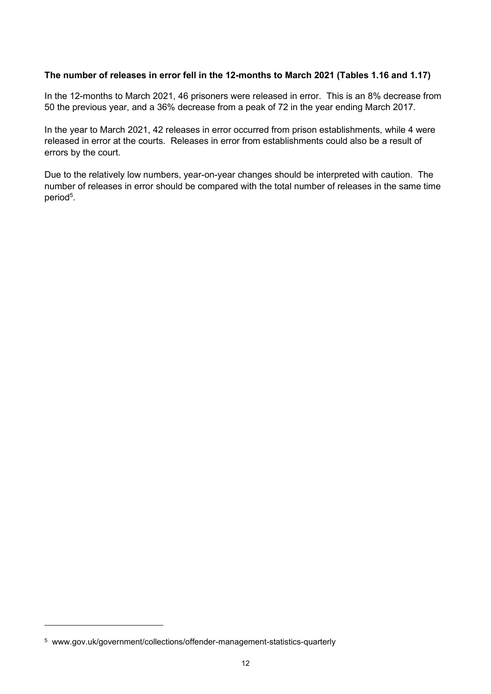## **The number of releases in error fell in the 12-months to March 2021 (Tables 1.16 and 1.17)**

In the 12-months to March 2021, 46 prisoners were released in error. This is an 8% decrease from 50 the previous year, and a 36% decrease from a peak of 72 in the year ending March 2017.

In the year to March 2021, 42 releases in error occurred from prison establishments, while 4 were released in error at the courts. Releases in error from establishments could also be a result of errors by the court.

Due to the relatively low numbers, year-on-year changes should be interpreted with caution. The number of releases in error should be compared with the total number of releases in the same time period<sup>5</sup>.

<sup>5</sup> [www.gov.uk/government/collections/offender-management-statistics-quarterly](https://www.gov.uk/government/collections/offender-management-statistics-quarterly)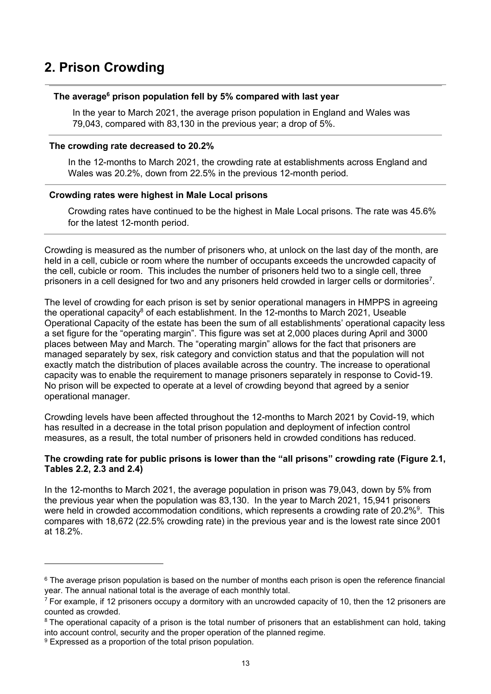# <span id="page-12-0"></span>**2. Prison Crowding**

#### **The average<sup>6</sup> prison population fell by 5% compared with last year**

In the year to March 2021, the average prison population in England and Wales was 79,043, compared with 83,130 in the previous year; a drop of 5%.

#### **The crowding rate decreased to 20.2%**

In the 12-months to March 2021, the crowding rate at establishments across England and Wales was 20.2%, down from 22.5% in the previous 12-month period.

#### **Crowding rates were highest in Male Local prisons**

Crowding rates have continued to be the highest in Male Local prisons. The rate was 45.6% for the latest 12-month period.

Crowding is measured as the number of prisoners who, at unlock on the last day of the month, are held in a cell, cubicle or room where the number of occupants exceeds the uncrowded capacity of the cell, cubicle or room. This includes the number of prisoners held two to a single cell, three prisoners in a cell designed for two and any prisoners held crowded in larger cells or dormitories<sup>7</sup>.

The level of crowding for each prison is set by senior operational managers in HMPPS in agreeing the operational capacity<sup>8</sup> of each establishment. In the 12-months to March 2021, Useable Operational Capacity of the estate has been the sum of all establishments' operational capacity less a set figure for the "operating margin". This figure was set at 2,000 places during April and 3000 places between May and March. The "operating margin" allows for the fact that prisoners are managed separately by sex, risk category and conviction status and that the population will not exactly match the distribution of places available across the country. The increase to operational capacity was to enable the requirement to manage prisoners separately in response to Covid-19. No prison will be expected to operate at a level of crowding beyond that agreed by a senior operational manager.

Crowding levels have been affected throughout the 12-months to March 2021 by Covid-19, which has resulted in a decrease in the total prison population and deployment of infection control measures, as a result, the total number of prisoners held in crowded conditions has reduced.

#### **The crowding rate for public prisons is lower than the "all prisons" crowding rate (Figure 2.1, Tables 2.2, 2.3 and 2.4)**

In the 12-months to March 2021, the average population in prison was 79,043, down by 5% from the previous year when the population was 83,130. In the year to March 2021, 15,941 prisoners were held in crowded accommodation conditions, which represents a crowding rate of 20.2%<sup>9</sup>. This compares with 18,672 (22.5% crowding rate) in the previous year and is the lowest rate since 2001 at 18.2%.

<sup>&</sup>lt;sup>6</sup> The average prison population is based on the number of months each prison is open the reference financial year. The annual national total is the average of each monthly total.

 $<sup>7</sup>$  For example, if 12 prisoners occupy a dormitory with an uncrowded capacity of 10, then the 12 prisoners are</sup> counted as crowded.

<sup>&</sup>lt;sup>8</sup> The operational capacity of a prison is the total number of prisoners that an establishment can hold, taking into account control, security and the proper operation of the planned regime.

<sup>&</sup>lt;sup>9</sup> Expressed as a proportion of the total prison population.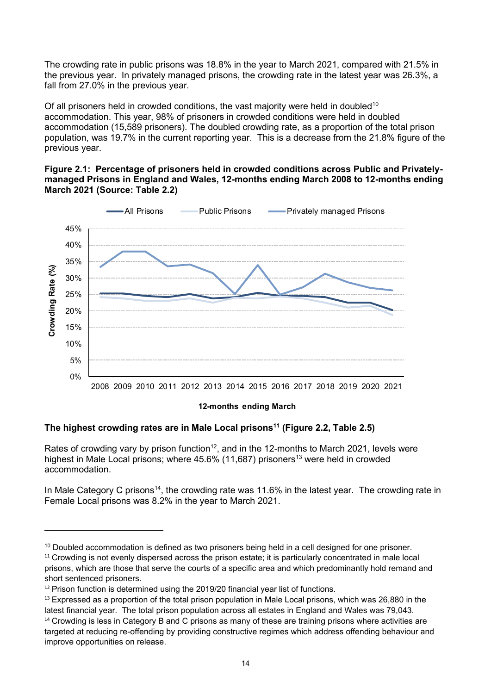The crowding rate in public prisons was 18.8% in the year to March 2021, compared with 21.5% in the previous year. In privately managed prisons, the crowding rate in the latest year was 26.3%, a fall from 27.0% in the previous year.

Of all prisoners held in crowded conditions, the vast majority were held in doubled<sup>10</sup> accommodation. This year, 98% of prisoners in crowded conditions were held in doubled accommodation (15,589 prisoners). The doubled crowding rate, as a proportion of the total prison population, was 19.7% in the current reporting year. This is a decrease from the 21.8% figure of the previous year.

#### **Figure 2.1: Percentage of prisoners held in crowded conditions across Public and Privatelymanaged Prisons in England and Wales, 12-months ending March 2008 to 12-months ending March 2021 (Source: Table 2.2)**



#### **12-months ending March**

# **The highest crowding rates are in Male Local prisons<sup>11</sup> (Figure 2.2, Table 2.5)**

Rates of crowding vary by prison function<sup>12</sup>, and in the 12-months to March 2021, levels were highest in Male Local prisons; where  $45.6\%$  (11,687) prisoners<sup>13</sup> were held in crowded accommodation.

In Male Category C prisons<sup>14</sup>, the crowding rate was 11.6% in the latest year. The crowding rate in Female Local prisons was 8.2% in the year to March 2021.

<sup>&</sup>lt;sup>10</sup> Doubled accommodation is defined as two prisoners being held in a cell designed for one prisoner.

<sup>&</sup>lt;sup>11</sup> Crowding is not evenly dispersed across the prison estate; it is particularly concentrated in male local prisons, which are those that serve the courts of a specific area and which predominantly hold remand and short sentenced prisoners.

 $12$  Prison function is determined using the 2019/20 financial year list of functions.

 $13$  Expressed as a proportion of the total prison population in Male Local prisons, which was 26,880 in the latest financial year. The total prison population across all estates in England and Wales was 79,043. <sup>14</sup> Crowding is less in Category B and C prisons as many of these are training prisons where activities are

targeted at reducing re-offending by providing constructive regimes which address offending behaviour and improve opportunities on release.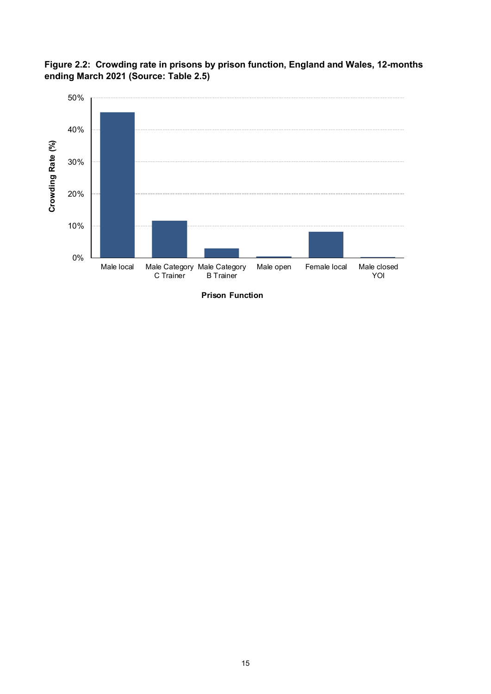

**Figure 2.2: Crowding rate in prisons by prison function, England and Wales, 12-months ending March 2021 (Source: Table 2.5)**

**Prison Function**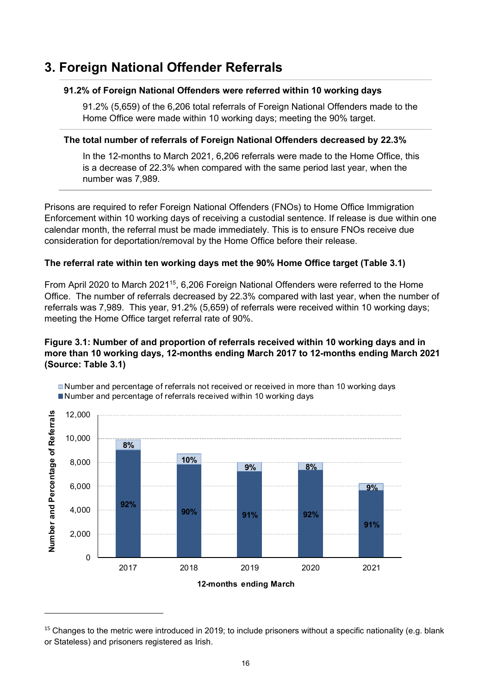# <span id="page-15-0"></span>**3. Foreign National Offender Referrals**

#### **91.2% of Foreign National Offenders were referred within 10 working days**

91.2% (5,659) of the 6,206 total referrals of Foreign National Offenders made to the Home Office were made within 10 working days; meeting the 90% target.

#### **The total number of referrals of Foreign National Offenders decreased by 22.3%**

In the 12-months to March 2021, 6,206 referrals were made to the Home Office, this is a decrease of 22.3% when compared with the same period last year, when the number was 7,989.

Prisons are required to refer Foreign National Offenders (FNOs) to Home Office Immigration Enforcement within 10 working days of receiving a custodial sentence. If release is due within one calendar month, the referral must be made immediately. This is to ensure FNOs receive due consideration for deportation/removal by the Home Office before their release.

# **The referral rate within ten working days met the 90% Home Office target (Table 3.1)**

From April 2020 to March 2021<sup>15</sup>, 6,206 Foreign National Offenders were referred to the Home Office. The number of referrals decreased by 22.3% compared with last year, when the number of referrals was 7,989. This year, 91.2% (5,659) of referrals were received within 10 working days; meeting the Home Office target referral rate of 90%.

# **Figure 3.1: Number of and proportion of referrals received within 10 working days and in more than 10 working days, 12-months ending March 2017 to 12-months ending March 2021 (Source: Table 3.1)**



Number and percentage of referrals not received or received in more than 10 working days Number and percentage of referrals received within 10 working days

 $15$  Changes to the metric were introduced in 2019; to include prisoners without a specific nationality (e.g. blank or Stateless) and prisoners registered as Irish.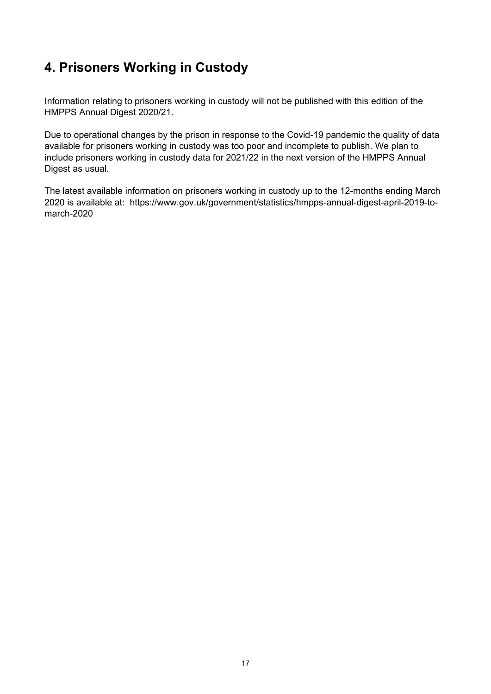# <span id="page-16-0"></span>**4. Prisoners Working in Custody**

Information relating to prisoners working in custody will not be published with this edition of the HMPPS Annual Digest 2020/21.

Due to operational changes by the prison in response to the Covid-19 pandemic the quality of data available for prisoners working in custody was too poor and incomplete to publish. We plan to include prisoners working in custody data for 2021/22 in the next version of the HMPPS Annual Digest as usual.

The latest available information on prisoners working in custody up to the 12-months ending March 2020 is available at: https://www.gov.uk/government/statistics/hmpps-annual-digest-april-2019-tomarch-2020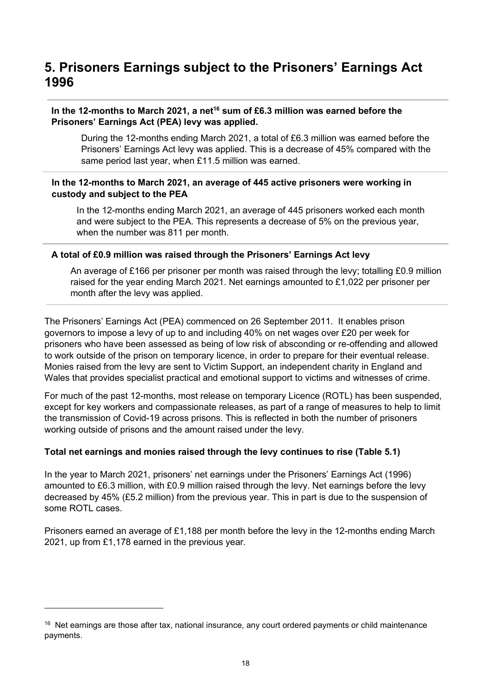# <span id="page-17-0"></span>**5. Prisoners Earnings subject to the Prisoners' Earnings Act 1996**

## **In the 12-months to March 2021, a net<sup>16</sup> sum of £6.3 million was earned before the Prisoners' Earnings Act (PEA) levy was applied.**

During the 12-months ending March 2021, a total of £6.3 million was earned before the Prisoners' Earnings Act levy was applied. This is a decrease of 45% compared with the same period last year, when £11.5 million was earned.

### **In the 12-months to March 2021, an average of 445 active prisoners were working in custody and subject to the PEA**

In the 12-months ending March 2021, an average of 445 prisoners worked each month and were subject to the PEA. This represents a decrease of 5% on the previous year, when the number was 811 per month.

### **A total of £0.9 million was raised through the Prisoners' Earnings Act levy**

An average of £166 per prisoner per month was raised through the levy; totalling £0.9 million raised for the year ending March 2021. Net earnings amounted to £1,022 per prisoner per month after the levy was applied.

The Prisoners' Earnings Act (PEA) commenced on 26 September 2011. It enables prison governors to impose a levy of up to and including 40% on net wages over £20 per week for prisoners who have been assessed as being of low risk of absconding or re-offending and allowed to work outside of the prison on temporary licence, in order to prepare for their eventual release. Monies raised from the levy are sent to Victim Support, an independent charity in England and Wales that provides specialist practical and emotional support to victims and witnesses of crime.

For much of the past 12-months, most release on temporary Licence (ROTL) has been suspended, except for key workers and compassionate releases, as part of a range of measures to help to limit the transmission of Covid-19 across prisons. This is reflected in both the number of prisoners working outside of prisons and the amount raised under the levy.

#### **Total net earnings and monies raised through the levy continues to rise (Table 5.1)**

In the year to March 2021, prisoners' net earnings under the Prisoners' Earnings Act (1996) amounted to £6.3 million, with £0.9 million raised through the levy. Net earnings before the levy decreased by 45% (£5.2 million) from the previous year. This in part is due to the suspension of some ROTL cases.

Prisoners earned an average of £1,188 per month before the levy in the 12-months ending March 2021, up from £1,178 earned in the previous year.

<sup>&</sup>lt;sup>16</sup> Net earnings are those after tax, national insurance, any court ordered payments or child maintenance payments.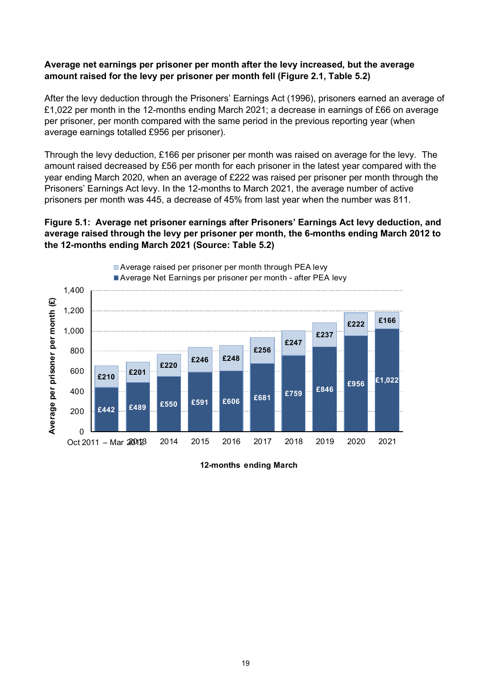#### **Average net earnings per prisoner per month after the levy increased, but the average amount raised for the levy per prisoner per month fell (Figure 2.1, Table 5.2)**

After the levy deduction through the Prisoners' Earnings Act (1996), prisoners earned an average of £1,022 per month in the 12-months ending March 2021; a decrease in earnings of £66 on average per prisoner, per month compared with the same period in the previous reporting year (when average earnings totalled £956 per prisoner).

Through the levy deduction, £166 per prisoner per month was raised on average for the levy. The amount raised decreased by £56 per month for each prisoner in the latest year compared with the year ending March 2020, when an average of £222 was raised per prisoner per month through the Prisoners' Earnings Act levy. In the 12-months to March 2021, the average number of active prisoners per month was 445, a decrease of 45% from last year when the number was 811.

#### **Figure 5.1: Average net prisoner earnings after Prisoners' Earnings Act levy deduction, and average raised through the levy per prisoner per month, the 6-months ending March 2012 to the 12-months ending March 2021 (Source: Table 5.2)**



**12-months ending March**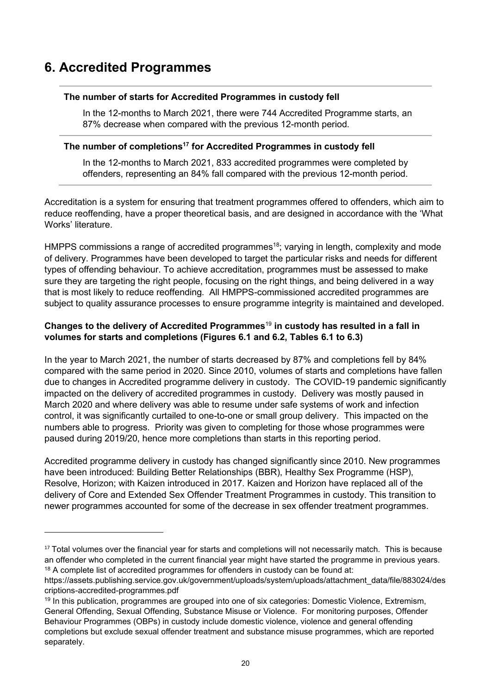# <span id="page-19-0"></span>**6. Accredited Programmes**

### **The number of starts for Accredited Programmes in custody fell**

In the 12-months to March 2021, there were 744 Accredited Programme starts, an 87% decrease when compared with the previous 12-month period.

# **The number of completions<sup>17</sup> for Accredited Programmes in custody fell**

In the 12-months to March 2021, 833 accredited programmes were completed by offenders, representing an 84% fall compared with the previous 12-month period.

Accreditation is a system for ensuring that treatment programmes offered to offenders, which aim to reduce reoffending, have a proper theoretical basis, and are designed in accordance with the 'What Works' literature.

HMPPS commissions a range of accredited programmes<sup>18</sup>; varying in length, complexity and mode of delivery. Programmes have been developed to target the particular risks and needs for different types of offending behaviour. To achieve accreditation, programmes must be assessed to make sure they are targeting the right people, focusing on the right things, and being delivered in a way that is most likely to reduce reoffending. All HMPPS-commissioned accredited programmes are subject to quality assurance processes to ensure programme integrity is maintained and developed.

# **Changes to the delivery of Accredited Programmes**<sup>19</sup> **in custody has resulted in a fall in volumes for starts and completions (Figures 6.1 and 6.2, Tables 6.1 to 6.3)**

In the year to March 2021, the number of starts decreased by 87% and completions fell by 84% compared with the same period in 2020. Since 2010, volumes of starts and completions have fallen due to changes in Accredited programme delivery in custody. The COVID-19 pandemic significantly impacted on the delivery of accredited programmes in custody. Delivery was mostly paused in March 2020 and where delivery was able to resume under safe systems of work and infection control, it was significantly curtailed to one-to-one or small group delivery. This impacted on the numbers able to progress. Priority was given to completing for those whose programmes were paused during 2019/20, hence more completions than starts in this reporting period.

Accredited programme delivery in custody has changed significantly since 2010. New programmes have been introduced: Building Better Relationships (BBR), Healthy Sex Programme (HSP), Resolve, Horizon; with Kaizen introduced in 2017. Kaizen and Horizon have replaced all of the delivery of Core and Extended Sex Offender Treatment Programmes in custody. This transition to newer programmes accounted for some of the decrease in sex offender treatment programmes.

<sup>&</sup>lt;sup>17</sup> Total volumes over the financial year for starts and completions will not necessarily match. This is because an offender who completed in the current financial year might have started the programme in previous years. <sup>18</sup> A complete list of accredited programmes for offenders in custody can be found at:

https://assets.publishing.service.gov.uk/government/uploads/system/uploads/attachment\_data/file/883024/des criptions-accredited-programmes.pdf

<sup>19</sup> In this publication, programmes are grouped into one of six categories: Domestic Violence, Extremism, General Offending, Sexual Offending, Substance Misuse or Violence. For monitoring purposes, Offender Behaviour Programmes (OBPs) in custody include domestic violence, violence and general offending completions but exclude sexual offender treatment and substance misuse programmes, which are reported separately.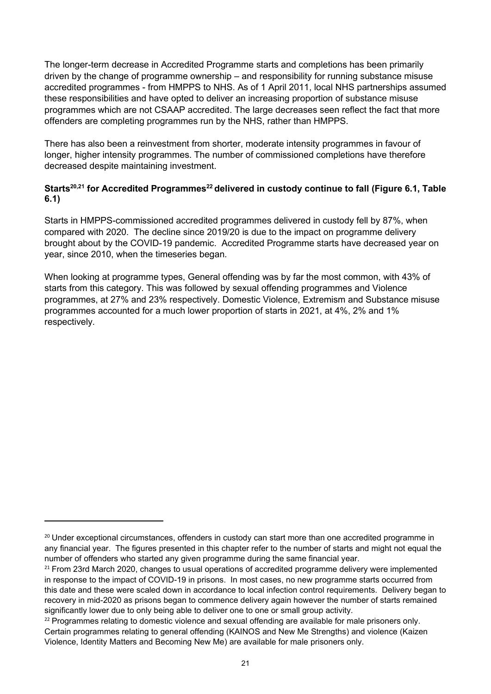The longer-term decrease in Accredited Programme starts and completions has been primarily driven by the change of programme ownership – and responsibility for running substance misuse accredited programmes - from HMPPS to NHS. As of 1 April 2011, local NHS partnerships assumed these responsibilities and have opted to deliver an increasing proportion of substance misuse programmes which are not CSAAP accredited. The large decreases seen reflect the fact that more offenders are completing programmes run by the NHS, rather than HMPPS.

There has also been a reinvestment from shorter, moderate intensity programmes in favour of longer, higher intensity programmes. The number of commissioned completions have therefore decreased despite maintaining investment.

# **Starts20,21 for Accredited Programmes<sup>22</sup> delivered in custody continue to fall (Figure 6.1, Table 6.1)**

Starts in HMPPS-commissioned accredited programmes delivered in custody fell by 87%, when compared with 2020. The decline since 2019/20 is due to the impact on programme delivery brought about by the COVID-19 pandemic. Accredited Programme starts have decreased year on year, since 2010, when the timeseries began.

When looking at programme types, General offending was by far the most common, with 43% of starts from this category. This was followed by sexual offending programmes and Violence programmes, at 27% and 23% respectively. Domestic Violence, Extremism and Substance misuse programmes accounted for a much lower proportion of starts in 2021, at 4%, 2% and 1% respectively.

<sup>&</sup>lt;sup>20</sup> Under exceptional circumstances, offenders in custody can start more than one accredited programme in any financial year. The figures presented in this chapter refer to the number of starts and might not equal the number of offenders who started any given programme during the same financial year.

 $21$  From 23rd March 2020, changes to usual operations of accredited programme delivery were implemented in response to the impact of COVID-19 in prisons. In most cases, no new programme starts occurred from this date and these were scaled down in accordance to local infection control requirements. Delivery began to recovery in mid-2020 as prisons began to commence delivery again however the number of starts remained significantly lower due to only being able to deliver one to one or small group activity.

<sup>&</sup>lt;sup>22</sup> Programmes relating to domestic violence and sexual offending are available for male prisoners only. Certain programmes relating to general offending (KAINOS and New Me Strengths) and violence (Kaizen Violence, Identity Matters and Becoming New Me) are available for male prisoners only.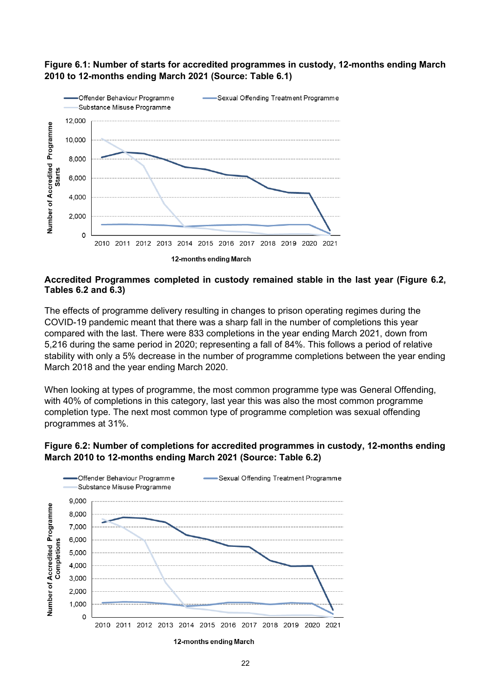

# **Figure 6.1: Number of starts for accredited programmes in custody, 12-months ending March 2010 to 12-months ending March 2021 (Source: Table 6.1)**

#### **Accredited Programmes completed in custody remained stable in the last year (Figure 6.2, Tables 6.2 and 6.3)**

The effects of programme delivery resulting in changes to prison operating regimes during the COVID-19 pandemic meant that there was a sharp fall in the number of completions this year compared with the last. There were 833 completions in the year ending March 2021, down from 5,216 during the same period in 2020; representing a fall of 84%. This follows a period of relative stability with only a 5% decrease in the number of programme completions between the year ending March 2018 and the year ending March 2020.

When looking at types of programme, the most common programme type was General Offending, with 40% of completions in this category, last year this was also the most common programme completion type. The next most common type of programme completion was sexual offending programmes at 31%.

### **Figure 6.2: Number of completions for accredited programmes in custody, 12-months ending March 2010 to 12-months ending March 2021 (Source: Table 6.2)**

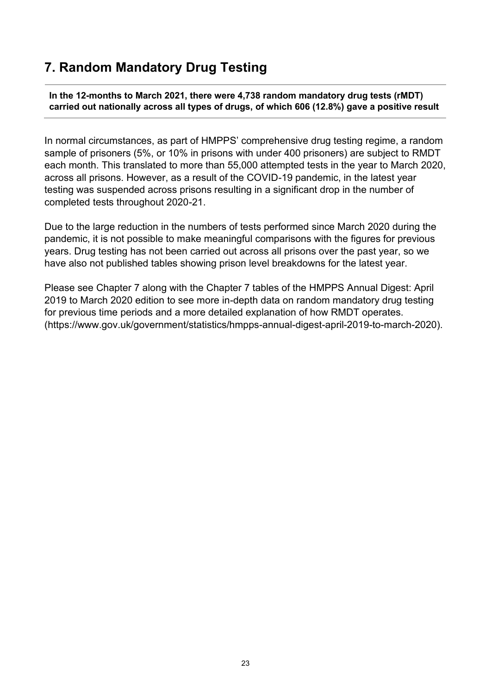# <span id="page-22-0"></span>**7. Random Mandatory Drug Testing**

**In the 12-months to March 2021, there were 4,738 random mandatory drug tests (rMDT) carried out nationally across all types of drugs, of which 606 (12.8%) gave a positive result**

In normal circumstances, as part of HMPPS' comprehensive drug testing regime, a random sample of prisoners (5%, or 10% in prisons with under 400 prisoners) are subject to RMDT each month. This translated to more than 55,000 attempted tests in the year to March 2020, across all prisons. However, as a result of the COVID-19 pandemic, in the latest year testing was suspended across prisons resulting in a significant drop in the number of completed tests throughout 2020-21.

Due to the large reduction in the numbers of tests performed since March 2020 during the pandemic, it is not possible to make meaningful comparisons with the figures for previous years. Drug testing has not been carried out across all prisons over the past year, so we have also not published tables showing prison level breakdowns for the latest year.

Please see Chapter 7 along with the Chapter 7 tables of the HMPPS Annual Digest: April 2019 to March 2020 edition to see more in-depth data on random mandatory drug testing for previous time periods and a more detailed explanation of how RMDT operates. (https://www.gov.uk/government/statistics/hmpps-annual-digest-april-2019-to-march-2020).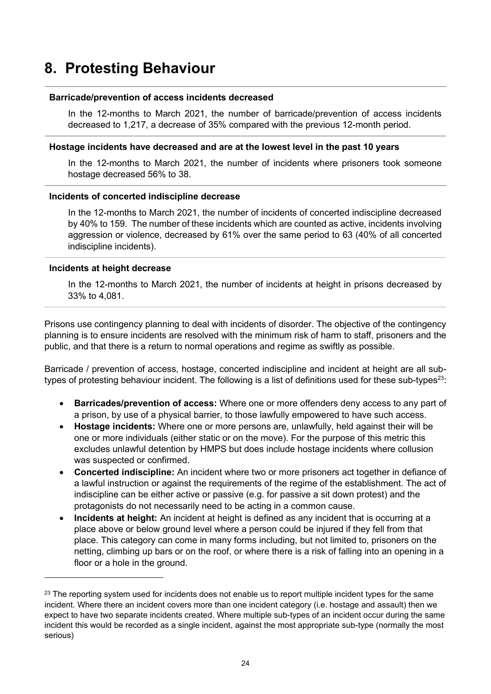# <span id="page-23-0"></span>**8. Protesting Behaviour**

#### **Barricade/prevention of access incidents decreased**

In the 12-months to March 2021, the number of barricade/prevention of access incidents decreased to 1,217, a decrease of 35% compared with the previous 12-month period.

#### **Hostage incidents have decreased and are at the lowest level in the past 10 years**

In the 12-months to March 2021, the number of incidents where prisoners took someone hostage decreased 56% to 38.

#### **Incidents of concerted indiscipline decrease**

In the 12-months to March 2021, the number of incidents of concerted indiscipline decreased by 40% to 159. The number of these incidents which are counted as active, incidents involving aggression or violence, decreased by 61% over the same period to 63 (40% of all concerted indiscipline incidents).

#### **Incidents at height decrease**

In the 12-months to March 2021, the number of incidents at height in prisons decreased by 33% to 4,081.

Prisons use contingency planning to deal with incidents of disorder. The objective of the contingency planning is to ensure incidents are resolved with the minimum risk of harm to staff, prisoners and the public, and that there is a return to normal operations and regime as swiftly as possible*.*

Barricade / prevention of access, hostage, concerted indiscipline and incident at height are all subtypes of protesting behaviour incident. The following is a list of definitions used for these sub-types<sup>23</sup>:

- **Barricades/prevention of access:** Where one or more offenders deny access to any part of a prison, by use of a physical barrier, to those lawfully empowered to have such access.
- **Hostage incidents:** Where one or more persons are, unlawfully, held against their will be one or more individuals (either static or on the move). For the purpose of this metric this excludes unlawful detention by HMPS but does include hostage incidents where collusion was suspected or confirmed.
- **Concerted indiscipline:** An incident where two or more prisoners act together in defiance of a lawful instruction or against the requirements of the regime of the establishment. The act of indiscipline can be either active or passive (e.g. for passive a sit down protest) and the protagonists do not necessarily need to be acting in a common cause.
- **Incidents at height:** An incident at height is defined as any incident that is occurring at a place above or below ground level where a person could be injured if they fell from that place. This category can come in many forms including, but not limited to, prisoners on the netting, climbing up bars or on the roof, or where there is a risk of falling into an opening in a floor or a hole in the ground.

<sup>&</sup>lt;sup>23</sup> The reporting system used for incidents does not enable us to report multiple incident types for the same incident. Where there an incident covers more than one incident category (i.e. hostage and assault) then we expect to have two separate incidents created. Where multiple sub-types of an incident occur during the same incident this would be recorded as a single incident, against the most appropriate sub-type (normally the most serious)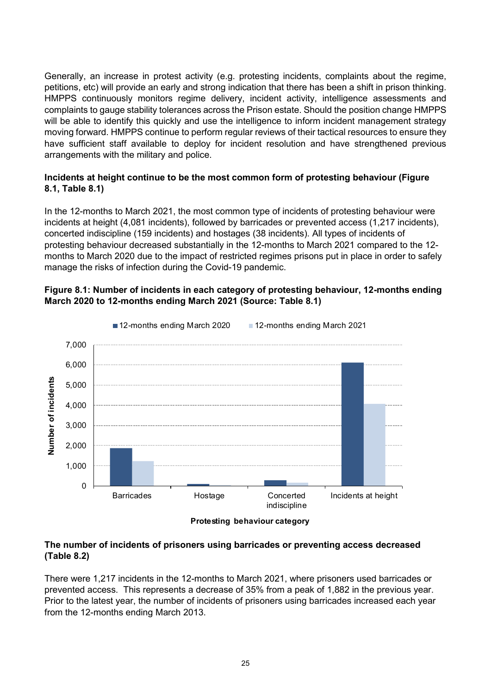Generally, an increase in protest activity (e.g. protesting incidents, complaints about the regime, petitions, etc) will provide an early and strong indication that there has been a shift in prison thinking. HMPPS continuously monitors regime delivery, incident activity, intelligence assessments and complaints to gauge stability tolerances across the Prison estate. Should the position change HMPPS will be able to identify this quickly and use the intelligence to inform incident management strategy moving forward. HMPPS continue to perform regular reviews of their tactical resources to ensure they have sufficient staff available to deploy for incident resolution and have strengthened previous arrangements with the military and police.

# **Incidents at height continue to be the most common form of protesting behaviour (Figure 8.1, Table 8.1)**

In the 12-months to March 2021, the most common type of incidents of protesting behaviour were incidents at height (4,081 incidents), followed by barricades or prevented access (1,217 incidents), concerted indiscipline (159 incidents) and hostages (38 incidents). All types of incidents of protesting behaviour decreased substantially in the 12-months to March 2021 compared to the 12 months to March 2020 due to the impact of restricted regimes prisons put in place in order to safely manage the risks of infection during the Covid-19 pandemic.

# **Figure 8.1: Number of incidents in each category of protesting behaviour, 12-months ending March 2020 to 12-months ending March 2021 (Source: Table 8.1)**



**Protesting behaviour category**

### **The number of incidents of prisoners using barricades or preventing access decreased (Table 8.2)**

There were 1,217 incidents in the 12-months to March 2021, where prisoners used barricades or prevented access. This represents a decrease of 35% from a peak of 1,882 in the previous year. Prior to the latest year, the number of incidents of prisoners using barricades increased each year from the 12-months ending March 2013.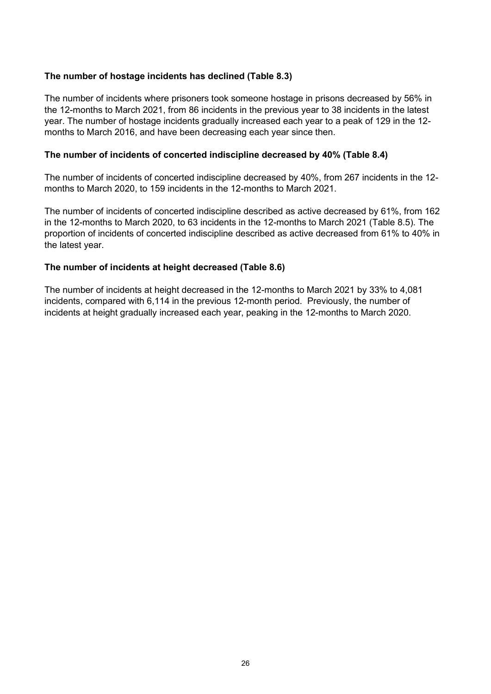#### **The number of hostage incidents has declined (Table 8.3)**

The number of incidents where prisoners took someone hostage in prisons decreased by 56% in the 12-months to March 2021, from 86 incidents in the previous year to 38 incidents in the latest year. The number of hostage incidents gradually increased each year to a peak of 129 in the 12 months to March 2016, and have been decreasing each year since then.

#### **The number of incidents of concerted indiscipline decreased by 40% (Table 8.4)**

The number of incidents of concerted indiscipline decreased by 40%, from 267 incidents in the 12 months to March 2020, to 159 incidents in the 12-months to March 2021.

The number of incidents of concerted indiscipline described as active decreased by 61%, from 162 in the 12-months to March 2020, to 63 incidents in the 12-months to March 2021 (Table 8.5). The proportion of incidents of concerted indiscipline described as active decreased from 61% to 40% in the latest year.

### **The number of incidents at height decreased (Table 8.6)**

The number of incidents at height decreased in the 12-months to March 2021 by 33% to 4,081 incidents, compared with 6,114 in the previous 12-month period. Previously, the number of incidents at height gradually increased each year, peaking in the 12-months to March 2020.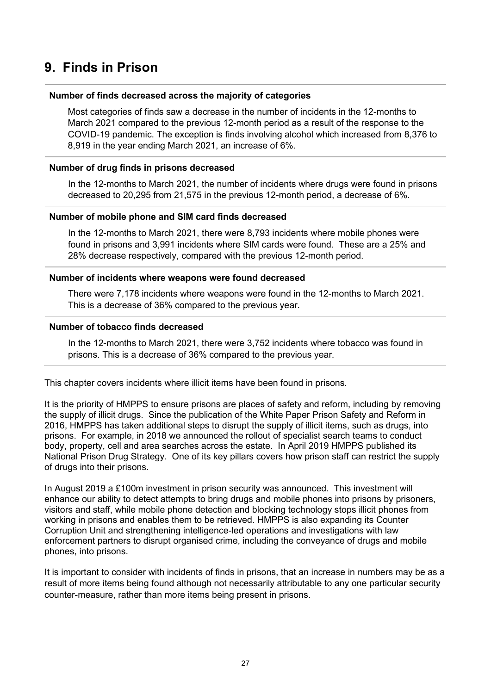# <span id="page-26-0"></span>**9. Finds in Prison**

#### **Number of finds decreased across the majority of categories**

Most categories of finds saw a decrease in the number of incidents in the 12-months to March 2021 compared to the previous 12-month period as a result of the response to the COVID-19 pandemic. The exception is finds involving alcohol which increased from 8,376 to 8,919 in the year ending March 2021, an increase of 6%.

#### **Number of drug finds in prisons decreased**

In the 12-months to March 2021, the number of incidents where drugs were found in prisons decreased to 20,295 from 21,575 in the previous 12-month period, a decrease of 6%.

#### **Number of mobile phone and SIM card finds decreased**

In the 12-months to March 2021, there were 8,793 incidents where mobile phones were found in prisons and 3,991 incidents where SIM cards were found. These are a 25% and 28% decrease respectively, compared with the previous 12-month period.

#### **Number of incidents where weapons were found decreased**

There were 7,178 incidents where weapons were found in the 12-months to March 2021. This is a decrease of 36% compared to the previous year.

#### **Number of tobacco finds decreased**

In the 12-months to March 2021, there were 3,752 incidents where tobacco was found in prisons. This is a decrease of 36% compared to the previous year.

This chapter covers incidents where illicit items have been found in prisons.

It is the priority of HMPPS to ensure prisons are places of safety and reform, including by removing the supply of illicit drugs. Since the publication of the White Paper Prison Safety and Reform in 2016, HMPPS has taken additional steps to disrupt the supply of illicit items, such as drugs, into prisons. For example, in 2018 we announced the rollout of specialist search teams to conduct body, property, cell and area searches across the estate. In April 2019 HMPPS published its National Prison Drug Strategy. One of its key pillars covers how prison staff can restrict the supply of drugs into their prisons.

In August 2019 a £100m investment in prison security was announced. This investment will enhance our ability to detect attempts to bring drugs and mobile phones into prisons by prisoners, visitors and staff, while mobile phone detection and blocking technology stops illicit phones from working in prisons and enables them to be retrieved. HMPPS is also expanding its Counter Corruption Unit and strengthening intelligence-led operations and investigations with law enforcement partners to disrupt organised crime, including the conveyance of drugs and mobile phones, into prisons.

It is important to consider with incidents of finds in prisons, that an increase in numbers may be as a result of more items being found although not necessarily attributable to any one particular security counter-measure, rather than more items being present in prisons.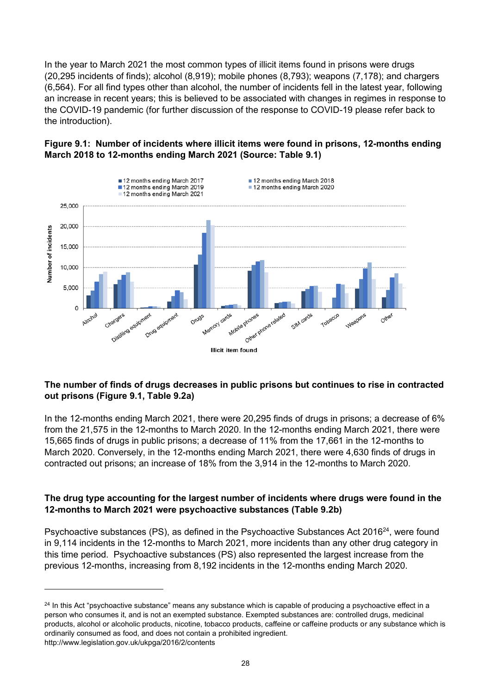In the year to March 2021 the most common types of illicit items found in prisons were drugs (20,295 incidents of finds); alcohol (8,919); mobile phones (8,793); weapons (7,178); and chargers (6,564). For all find types other than alcohol, the number of incidents fell in the latest year, following an increase in recent years; this is believed to be associated with changes in regimes in response to the COVID-19 pandemic (for further discussion of the response to COVID-19 please refer back to the introduction).

# **Figure 9.1: Number of incidents where illicit items were found in prisons, 12-months ending March 2018 to 12-months ending March 2021 (Source: Table 9.1)**



# **The number of finds of drugs decreases in public prisons but continues to rise in contracted out prisons (Figure 9.1, Table 9.2a)**

In the 12-months ending March 2021, there were 20,295 finds of drugs in prisons; a decrease of 6% from the 21,575 in the 12-months to March 2020. In the 12-months ending March 2021, there were 15,665 finds of drugs in public prisons; a decrease of 11% from the 17,661 in the 12-months to March 2020. Conversely, in the 12-months ending March 2021, there were 4,630 finds of drugs in contracted out prisons; an increase of 18% from the 3,914 in the 12-months to March 2020.

# **The drug type accounting for the largest number of incidents where drugs were found in the 12-months to March 2021 were psychoactive substances (Table 9.2b)**

Psychoactive substances (PS), as defined in the Psychoactive Substances Act 2016<sup>24</sup>, were found in 9,114 incidents in the 12-months to March 2021, more incidents than any other drug category in this time period. Psychoactive substances (PS) also represented the largest increase from the previous 12-months, increasing from 8,192 incidents in the 12-months ending March 2020.

<sup>&</sup>lt;sup>24</sup> In this Act "psychoactive substance" means any substance which is capable of producing a psychoactive effect in a person who consumes it, and is not an exempted substance. Exempted substances are: controlled drugs, medicinal products, alcohol or alcoholic products, nicotine, tobacco products, caffeine or caffeine products or any substance which is ordinarily consumed as food, and does not contain a prohibited ingredient. http://www.legislation.gov.uk/ukpga/2016/2/contents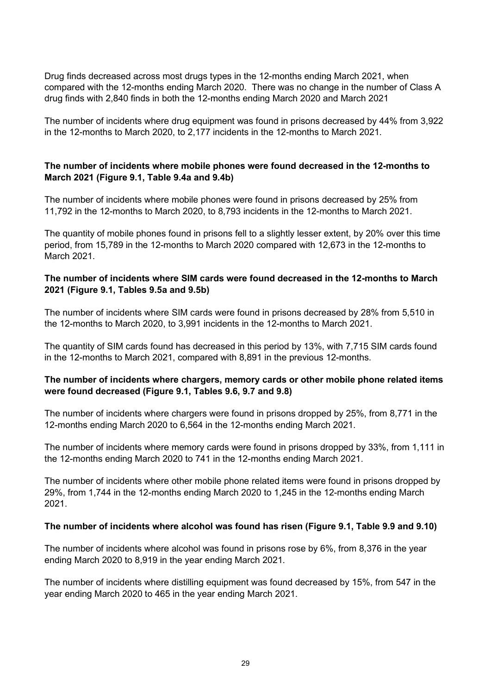Drug finds decreased across most drugs types in the 12-months ending March 2021, when compared with the 12-months ending March 2020. There was no change in the number of Class A drug finds with 2,840 finds in both the 12-months ending March 2020 and March 2021

The number of incidents where drug equipment was found in prisons decreased by 44% from 3,922 in the 12-months to March 2020, to 2,177 incidents in the 12-months to March 2021.

### **The number of incidents where mobile phones were found decreased in the 12-months to March 2021 (Figure 9.1, Table 9.4a and 9.4b)**

The number of incidents where mobile phones were found in prisons decreased by 25% from 11,792 in the 12-months to March 2020, to 8,793 incidents in the 12-months to March 2021.

The quantity of mobile phones found in prisons fell to a slightly lesser extent, by 20% over this time period, from 15,789 in the 12-months to March 2020 compared with 12,673 in the 12-months to March 2021.

### **The number of incidents where SIM cards were found decreased in the 12-months to March 2021 (Figure 9.1, Tables 9.5a and 9.5b)**

The number of incidents where SIM cards were found in prisons decreased by 28% from 5,510 in the 12-months to March 2020, to 3,991 incidents in the 12-months to March 2021.

The quantity of SIM cards found has decreased in this period by 13%, with 7,715 SIM cards found in the 12-months to March 2021, compared with 8,891 in the previous 12-months.

### **The number of incidents where chargers, memory cards or other mobile phone related items were found decreased (Figure 9.1, Tables 9.6, 9.7 and 9.8)**

The number of incidents where chargers were found in prisons dropped by 25%, from 8,771 in the 12-months ending March 2020 to 6,564 in the 12-months ending March 2021.

The number of incidents where memory cards were found in prisons dropped by 33%, from 1,111 in the 12-months ending March 2020 to 741 in the 12-months ending March 2021.

The number of incidents where other mobile phone related items were found in prisons dropped by 29%, from 1,744 in the 12-months ending March 2020 to 1,245 in the 12-months ending March 2021.

#### **The number of incidents where alcohol was found has risen (Figure 9.1, Table 9.9 and 9.10)**

The number of incidents where alcohol was found in prisons rose by 6%, from 8,376 in the year ending March 2020 to 8,919 in the year ending March 2021.

The number of incidents where distilling equipment was found decreased by 15%, from 547 in the year ending March 2020 to 465 in the year ending March 2021.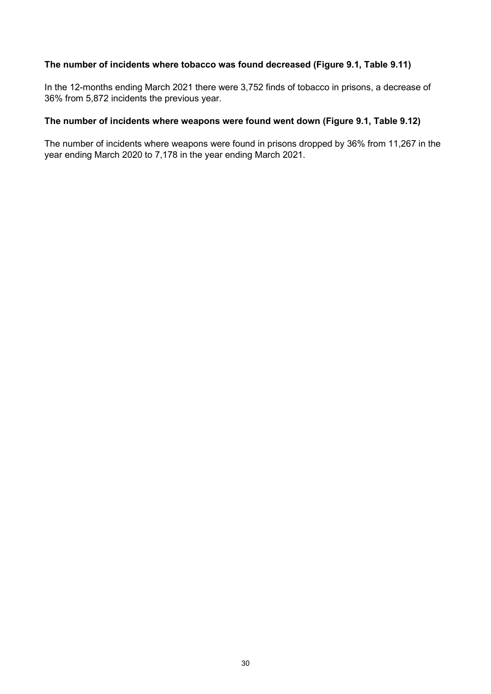### **The number of incidents where tobacco was found decreased (Figure 9.1, Table 9.11)**

In the 12-months ending March 2021 there were 3,752 finds of tobacco in prisons, a decrease of 36% from 5,872 incidents the previous year.

#### **The number of incidents where weapons were found went down (Figure 9.1, Table 9.12)**

The number of incidents where weapons were found in prisons dropped by 36% from 11,267 in the year ending March 2020 to 7,178 in the year ending March 2021.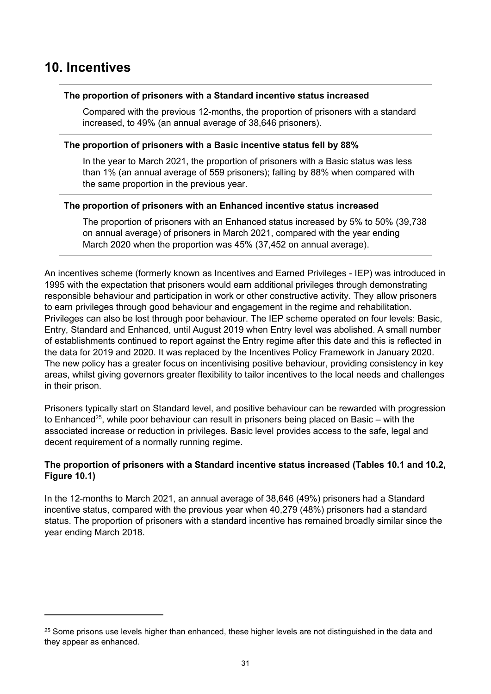# <span id="page-30-0"></span>**10. Incentives**

#### **The proportion of prisoners with a Standard incentive status increased**

Compared with the previous 12-months, the proportion of prisoners with a standard increased, to 49% (an annual average of 38,646 prisoners).

#### **The proportion of prisoners with a Basic incentive status fell by 88%**

In the year to March 2021, the proportion of prisoners with a Basic status was less than 1% (an annual average of 559 prisoners); falling by 88% when compared with the same proportion in the previous year.

#### **The proportion of prisoners with an Enhanced incentive status increased**

The proportion of prisoners with an Enhanced status increased by 5% to 50% (39,738 on annual average) of prisoners in March 2021, compared with the year ending March 2020 when the proportion was 45% (37,452 on annual average).

An incentives scheme (formerly known as Incentives and Earned Privileges - IEP) was introduced in 1995 with the expectation that prisoners would earn additional privileges through demonstrating responsible behaviour and participation in work or other constructive activity. They allow prisoners to earn privileges through good behaviour and engagement in the regime and rehabilitation. Privileges can also be lost through poor behaviour. The IEP scheme operated on four levels: Basic, Entry, Standard and Enhanced, until August 2019 when Entry level was abolished. A small number of establishments continued to report against the Entry regime after this date and this is reflected in the data for 2019 and 2020. It was replaced by the Incentives Policy Framework in January 2020. The new policy has a greater focus on incentivising positive behaviour, providing consistency in key areas, whilst giving governors greater flexibility to tailor incentives to the local needs and challenges in their prison.

Prisoners typically start on Standard level, and positive behaviour can be rewarded with progression to Enhanced<sup>25</sup>, while poor behaviour can result in prisoners being placed on Basic – with the associated increase or reduction in privileges. Basic level provides access to the safe, legal and decent requirement of a normally running regime.

### **The proportion of prisoners with a Standard incentive status increased (Tables 10.1 and 10.2, Figure 10.1)**

In the 12-months to March 2021, an annual average of 38,646 (49%) prisoners had a Standard incentive status, compared with the previous year when 40,279 (48%) prisoners had a standard status. The proportion of prisoners with a standard incentive has remained broadly similar since the year ending March 2018.

<sup>&</sup>lt;sup>25</sup> Some prisons use levels higher than enhanced, these higher levels are not distinguished in the data and they appear as enhanced.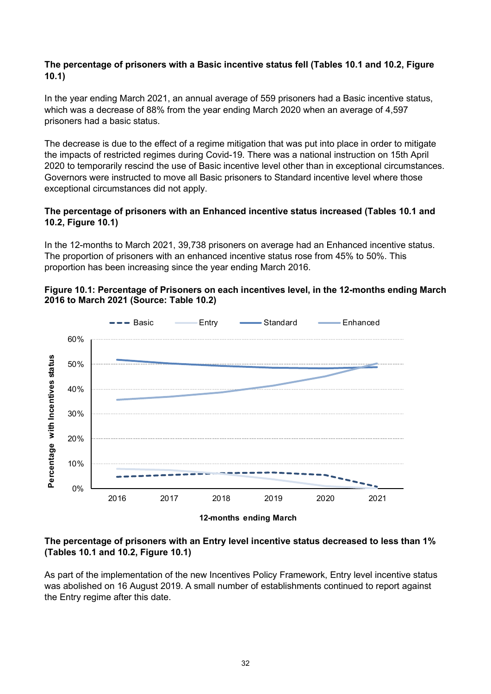## **The percentage of prisoners with a Basic incentive status fell (Tables 10.1 and 10.2, Figure 10.1)**

In the year ending March 2021, an annual average of 559 prisoners had a Basic incentive status, which was a decrease of 88% from the year ending March 2020 when an average of 4,597 prisoners had a basic status.

The decrease is due to the effect of a regime mitigation that was put into place in order to mitigate the impacts of restricted regimes during Covid-19. There was a national instruction on 15th April 2020 to temporarily rescind the use of Basic incentive level other than in exceptional circumstances. Governors were instructed to move all Basic prisoners to Standard incentive level where those exceptional circumstances did not apply.

### **The percentage of prisoners with an Enhanced incentive status increased (Tables 10.1 and 10.2, Figure 10.1)**

In the 12-months to March 2021, 39,738 prisoners on average had an Enhanced incentive status. The proportion of prisoners with an enhanced incentive status rose from 45% to 50%. This proportion has been increasing since the year ending March 2016.

### **Figure 10.1: Percentage of Prisoners on each incentives level, in the 12-months ending March 2016 to March 2021 (Source: Table 10.2)**



**12-months ending March**

### **The percentage of prisoners with an Entry level incentive status decreased to less than 1% (Tables 10.1 and 10.2, Figure 10.1)**

As part of the implementation of the new Incentives Policy Framework, Entry level incentive status was abolished on 16 August 2019. A small number of establishments continued to report against the Entry regime after this date.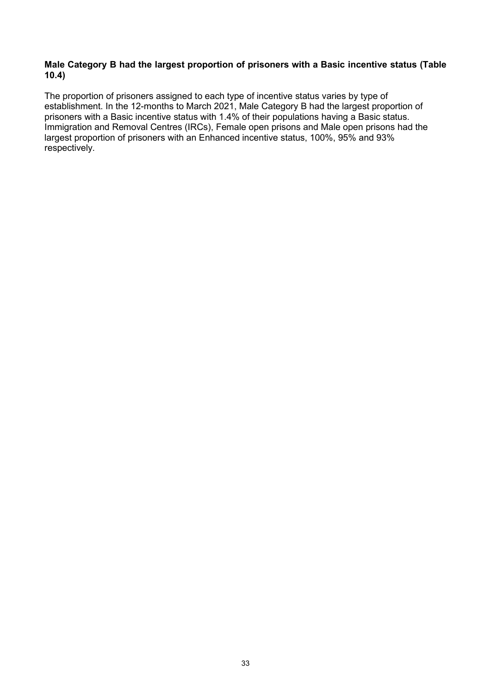#### **Male Category B had the largest proportion of prisoners with a Basic incentive status (Table 10.4)**

The proportion of prisoners assigned to each type of incentive status varies by type of establishment. In the 12-months to March 2021, Male Category B had the largest proportion of prisoners with a Basic incentive status with 1.4% of their populations having a Basic status. Immigration and Removal Centres (IRCs), Female open prisons and Male open prisons had the largest proportion of prisoners with an Enhanced incentive status, 100%, 95% and 93% respectively.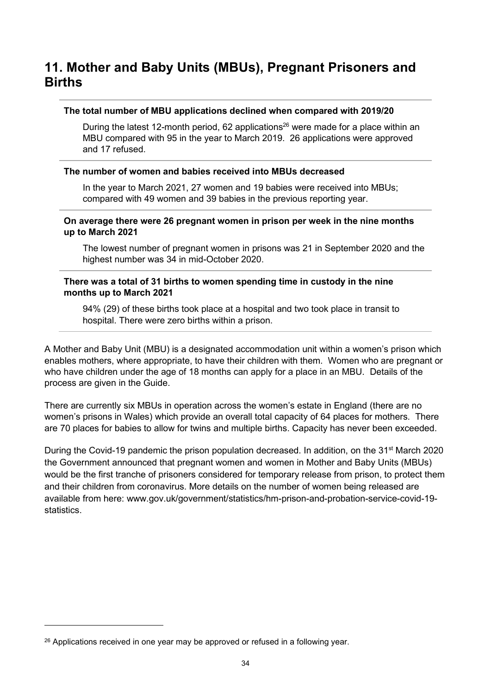# <span id="page-33-0"></span>**11. Mother and Baby Units (MBUs), Pregnant Prisoners and Births**

#### **The total number of MBU applications declined when compared with 2019/20**

During the latest 12-month period, 62 applications<sup>26</sup> were made for a place within an MBU compared with 95 in the year to March 2019. 26 applications were approved and 17 refused.

#### **The number of women and babies received into MBUs decreased**

In the year to March 2021, 27 women and 19 babies were received into MBUs; compared with 49 women and 39 babies in the previous reporting year.

#### **On average there were 26 pregnant women in prison per week in the nine months up to March 2021**

The lowest number of pregnant women in prisons was 21 in September 2020 and the highest number was 34 in mid-October 2020.

#### **There was a total of 31 births to women spending time in custody in the nine months up to March 2021**

94% (29) of these births took place at a hospital and two took place in transit to hospital. There were zero births within a prison.

A Mother and Baby Unit (MBU) is a designated accommodation unit within a women's prison which enables mothers, where appropriate, to have their children with them. Women who are pregnant or who have children under the age of 18 months can apply for a place in an MBU. Details of the process are given in the Guide.

There are currently six MBUs in operation across the women's estate in England (there are no women's prisons in Wales) which provide an overall total capacity of 64 places for mothers. There are 70 places for babies to allow for twins and multiple births. Capacity has never been exceeded.

During the Covid-19 pandemic the prison population decreased. In addition, on the 31<sup>st</sup> March 2020 the Government announced that pregnant women and women in Mother and Baby Units (MBUs) would be the first tranche of prisoners considered for temporary release from prison, to protect them and their children from coronavirus. More details on the number of women being released are available from here: [www.gov.uk/government/statistics/hm-prison-and-probation-service-covid-19](http://www.gov.uk/government/statistics/hm-prison-and-probation-service-covid-19-statistics) [statistics.](http://www.gov.uk/government/statistics/hm-prison-and-probation-service-covid-19-statistics)

 $26$  Applications received in one year may be approved or refused in a following year.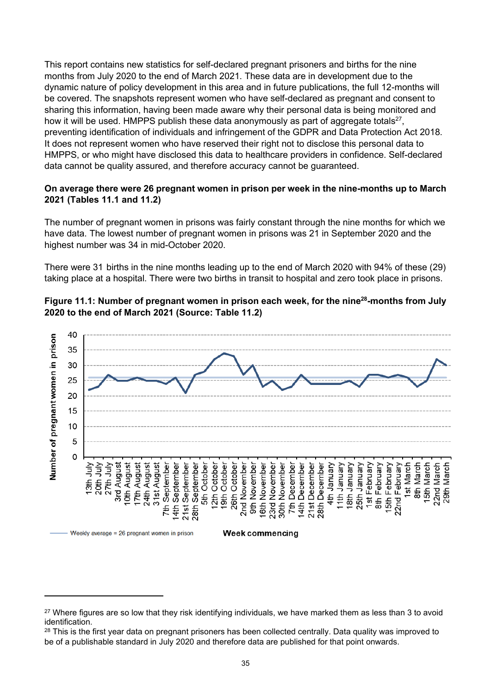This report contains new statistics for self-declared pregnant prisoners and births for the nine months from July 2020 to the end of March 2021. These data are in development due to the dynamic nature of policy development in this area and in future publications, the full 12-months will be covered. The snapshots represent women who have self-declared as pregnant and consent to sharing this information, having been made aware why their personal data is being monitored and how it will be used. HMPPS publish these data anonymously as part of aggregate totals<sup>27</sup>, preventing identification of individuals and infringement of the GDPR and Data Protection Act 2018. It does not represent women who have reserved their right not to disclose this personal data to HMPPS, or who might have disclosed this data to healthcare providers in confidence. Self-declared data cannot be quality assured, and therefore accuracy cannot be guaranteed.

#### **On average there were 26 pregnant women in prison per week in the nine-months up to March 2021 (Tables 11.1 and 11.2)**

The number of pregnant women in prisons was fairly constant through the nine months for which we have data. The lowest number of pregnant women in prisons was 21 in September 2020 and the highest number was 34 in mid-October 2020.

There were 31 births in the nine months leading up to the end of March 2020 with 94% of these (29) taking place at a hospital. There were two births in transit to hospital and zero took place in prisons.





<sup>&</sup>lt;sup>27</sup> Where figures are so low that they risk identifying individuals, we have marked them as less than 3 to avoid identification.

<sup>&</sup>lt;sup>28</sup> This is the first year data on pregnant prisoners has been collected centrally. Data quality was improved to be of a publishable standard in July 2020 and therefore data are published for that point onwards.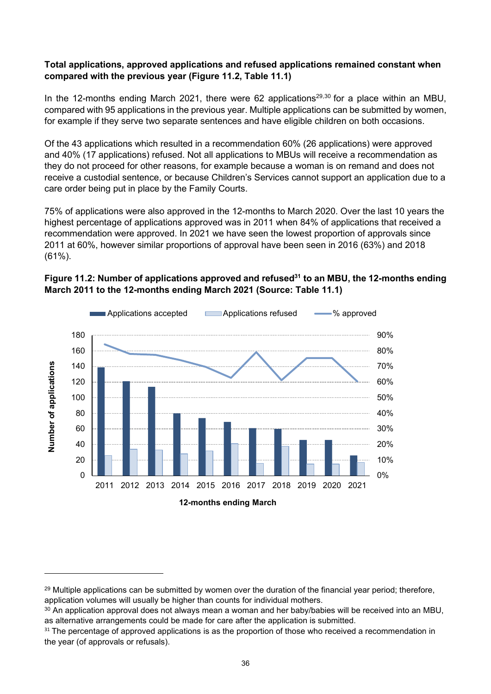### **Total applications, approved applications and refused applications remained constant when compared with the previous year (Figure 11.2, Table 11.1)**

In the 12-months ending March 2021, there were 62 applications<sup>29,30</sup> for a place within an MBU, compared with 95 applications in the previous year. Multiple applications can be submitted by women, for example if they serve two separate sentences and have eligible children on both occasions.

Of the 43 applications which resulted in a recommendation 60% (26 applications) were approved and 40% (17 applications) refused. Not all applications to MBUs will receive a recommendation as they do not proceed for other reasons, for example because a woman is on remand and does not receive a custodial sentence, or because Children's Services cannot support an application due to a care order being put in place by the Family Courts.

75% of applications were also approved in the 12-months to March 2020. Over the last 10 years the highest percentage of applications approved was in 2011 when 84% of applications that received a recommendation were approved. In 2021 we have seen the lowest proportion of approvals since 2011 at 60%, however similar proportions of approval have been seen in 2016 (63%) and 2018 (61%).



### **Figure 11.2: Number of applications approved and refused<sup>31</sup> to an MBU, the 12-months ending March 2011 to the 12-months ending March 2021 (Source: Table 11.1)**

<sup>&</sup>lt;sup>29</sup> Multiple applications can be submitted by women over the duration of the financial year period; therefore, application volumes will usually be higher than counts for individual mothers.

<sup>&</sup>lt;sup>30</sup> An application approval does not always mean a woman and her baby/babies will be received into an MBU, as alternative arrangements could be made for care after the application is submitted.

<sup>&</sup>lt;sup>31</sup> The percentage of approved applications is as the proportion of those who received a recommendation in the year (of approvals or refusals).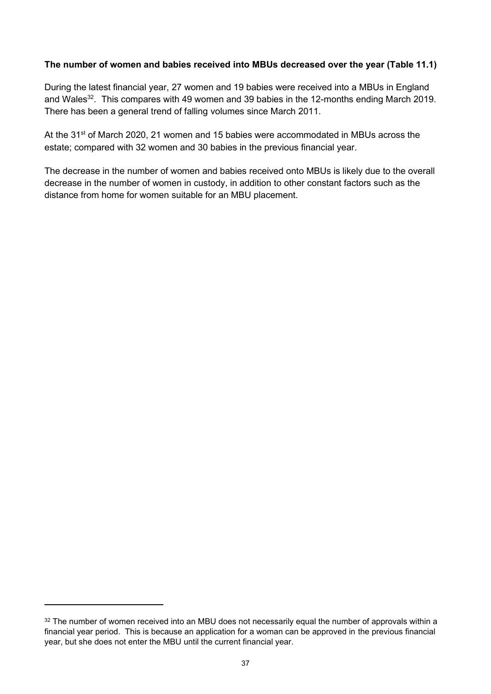## **The number of women and babies received into MBUs decreased over the year (Table 11.1)**

During the latest financial year, 27 women and 19 babies were received into a MBUs in England and Wales<sup>32</sup>. This compares with 49 women and 39 babies in the 12-months ending March 2019. There has been a general trend of falling volumes since March 2011.

At the 31<sup>st</sup> of March 2020, 21 women and 15 babies were accommodated in MBUs across the estate; compared with 32 women and 30 babies in the previous financial year.

The decrease in the number of women and babies received onto MBUs is likely due to the overall decrease in the number of women in custody, in addition to other constant factors such as the distance from home for women suitable for an MBU placement.

<sup>&</sup>lt;sup>32</sup> The number of women received into an MBU does not necessarily equal the number of approvals within a financial year period. This is because an application for a woman can be approved in the previous financial year, but she does not enter the MBU until the current financial year.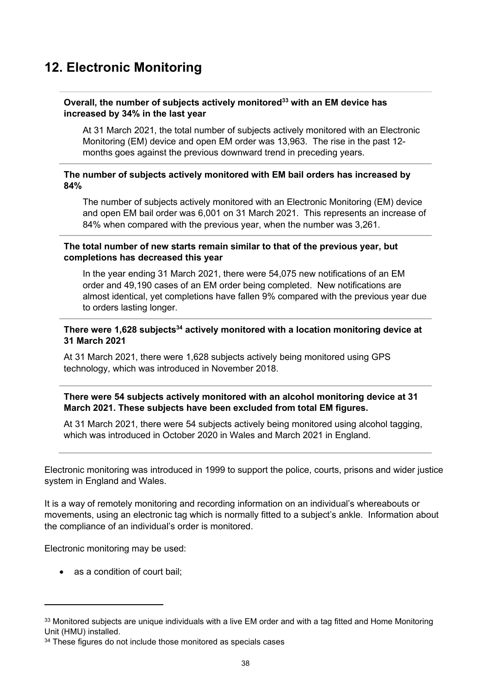# <span id="page-37-0"></span>**12. Electronic Monitoring**

#### **Overall, the number of subjects actively monitored<sup>33</sup> with an EM device has increased by 34% in the last year**

At 31 March 2021, the total number of subjects actively monitored with an Electronic Monitoring (EM) device and open EM order was 13,963. The rise in the past 12 months goes against the previous downward trend in preceding years.

#### **The number of subjects actively monitored with EM bail orders has increased by 84%**

The number of subjects actively monitored with an Electronic Monitoring (EM) device and open EM bail order was 6,001 on 31 March 2021. This represents an increase of 84% when compared with the previous year, when the number was 3,261.

#### **The total number of new starts remain similar to that of the previous year, but completions has decreased this year**

In the year ending 31 March 2021, there were 54,075 new notifications of an EM order and 49,190 cases of an EM order being completed. New notifications are almost identical, yet completions have fallen 9% compared with the previous year due to orders lasting longer.

### **There were 1,628 subjects<sup>34</sup> actively monitored with a location monitoring device at 31 March 2021**

At 31 March 2021, there were 1,628 subjects actively being monitored using GPS technology, which was introduced in November 2018.

### **There were 54 subjects actively monitored with an alcohol monitoring device at 31 March 2021. These subjects have been excluded from total EM figures.**

At 31 March 2021, there were 54 subjects actively being monitored using alcohol tagging, which was introduced in October 2020 in Wales and March 2021 in England.

Electronic monitoring was introduced in 1999 to support the police, courts, prisons and wider justice system in England and Wales.

It is a way of remotely monitoring and recording information on an individual's whereabouts or movements, using an electronic tag which is normally fitted to a subject's ankle. Information about the compliance of an individual's order is monitored.

Electronic monitoring may be used:

• as a condition of court bail:

<sup>33</sup> Monitored subjects are unique individuals with a live EM order and with a tag fitted and Home Monitoring Unit (HMU) installed.

<sup>&</sup>lt;sup>34</sup> These figures do not include those monitored as specials cases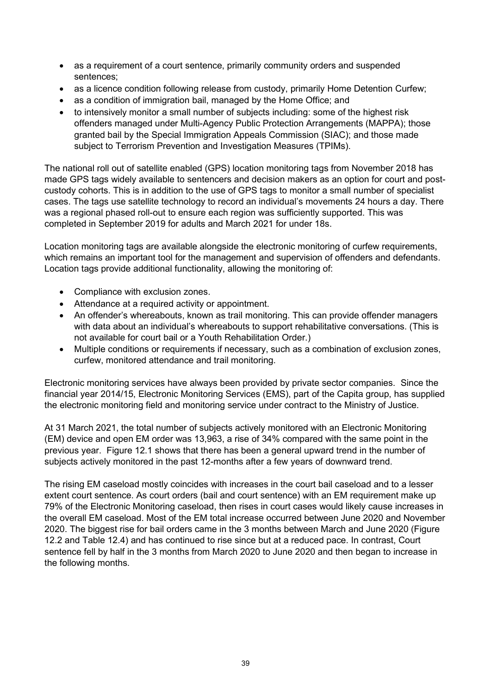- as a requirement of a court sentence, primarily community orders and suspended sentences;
- as a licence condition following release from custody, primarily Home Detention Curfew;
- as a condition of immigration bail, managed by the Home Office; and
- to intensively monitor a small number of subjects including: some of the highest risk offenders managed under Multi-Agency Public Protection Arrangements (MAPPA); those granted bail by the Special Immigration Appeals Commission (SIAC); and those made subject to Terrorism Prevention and Investigation Measures (TPIMs).

The national roll out of satellite enabled (GPS) location monitoring tags from November 2018 has made GPS tags widely available to sentencers and decision makers as an option for court and postcustody cohorts. This is in addition to the use of GPS tags to monitor a small number of specialist cases. The tags use satellite technology to record an individual's movements 24 hours a day. There was a regional phased roll-out to ensure each region was sufficiently supported. This was completed in September 2019 for adults and March 2021 for under 18s.

Location monitoring tags are available alongside the electronic monitoring of curfew requirements, which remains an important tool for the management and supervision of offenders and defendants. Location tags provide additional functionality, allowing the monitoring of:

- Compliance with exclusion zones.
- Attendance at a required activity or appointment.
- An offender's whereabouts, known as trail monitoring. This can provide offender managers with data about an individual's whereabouts to support rehabilitative conversations. (This is not available for court bail or a Youth Rehabilitation Order.)
- Multiple conditions or requirements if necessary, such as a combination of exclusion zones, curfew, monitored attendance and trail monitoring.

Electronic monitoring services have always been provided by private sector companies. Since the financial year 2014/15, Electronic Monitoring Services (EMS), part of the Capita group, has supplied the electronic monitoring field and monitoring service under contract to the Ministry of Justice.

At 31 March 2021, the total number of subjects actively monitored with an Electronic Monitoring (EM) device and open EM order was 13,963, a rise of 34% compared with the same point in the previous year. Figure 12.1 shows that there has been a general upward trend in the number of subjects actively monitored in the past 12-months after a few years of downward trend.

The rising EM caseload mostly coincides with increases in the court bail caseload and to a lesser extent court sentence. As court orders (bail and court sentence) with an EM requirement make up 79% of the Electronic Monitoring caseload, then rises in court cases would likely cause increases in the overall EM caseload. Most of the EM total increase occurred between June 2020 and November 2020. The biggest rise for bail orders came in the 3 months between March and June 2020 (Figure 12.2 and Table 12.4) and has continued to rise since but at a reduced pace. In contrast, Court sentence fell by half in the 3 months from March 2020 to June 2020 and then began to increase in the following months.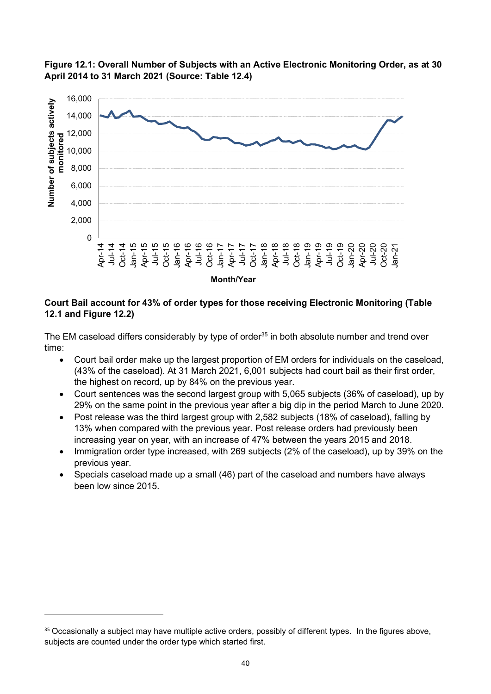



### **Court Bail account for 43% of order types for those receiving Electronic Monitoring (Table 12.1 and Figure 12.2)**

The EM caseload differs considerably by type of order<sup>35</sup> in both absolute number and trend over time:

- Court bail order make up the largest proportion of EM orders for individuals on the caseload, (43% of the caseload). At 31 March 2021, 6,001 subjects had court bail as their first order, the highest on record, up by 84% on the previous year.
- Court sentences was the second largest group with 5,065 subjects (36% of caseload), up by 29% on the same point in the previous year after a big dip in the period March to June 2020.
- Post release was the third largest group with 2,582 subjects (18% of caseload), falling by 13% when compared with the previous year. Post release orders had previously been increasing year on year, with an increase of 47% between the years 2015 and 2018.
- Immigration order type increased, with 269 subjects (2% of the caseload), up by 39% on the previous year.
- Specials caseload made up a small (46) part of the caseload and numbers have always been low since 2015.

<sup>&</sup>lt;sup>35</sup> Occasionally a subject may have multiple active orders, possibly of different types. In the figures above, subjects are counted under the order type which started first.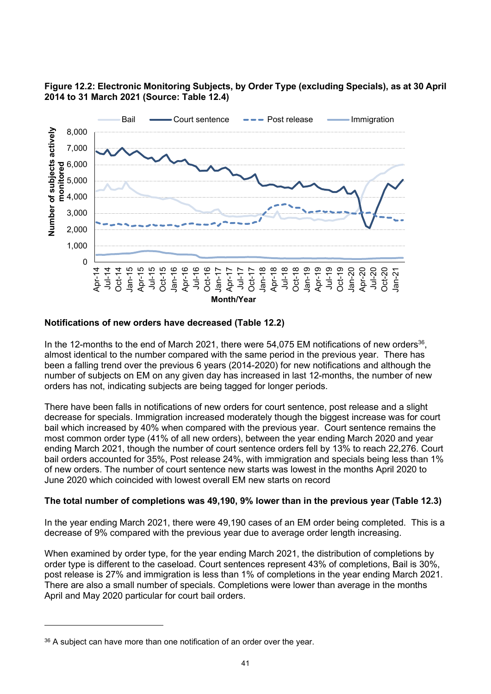### **Figure 12.2: Electronic Monitoring Subjects, by Order Type (excluding Specials), as at 30 April 2014 to 31 March 2021 (Source: Table 12.4)**



#### **Notifications of new orders have decreased (Table 12.2)**

In the 12-months to the end of March 2021, there were 54,075 EM notifications of new orders<sup>36</sup>, almost identical to the number compared with the same period in the previous year. There has been a falling trend over the previous 6 years (2014-2020) for new notifications and although the number of subjects on EM on any given day has increased in last 12-months, the number of new orders has not, indicating subjects are being tagged for longer periods.

There have been falls in notifications of new orders for court sentence, post release and a slight decrease for specials. Immigration increased moderately though the biggest increase was for court bail which increased by 40% when compared with the previous year. Court sentence remains the most common order type (41% of all new orders), between the year ending March 2020 and year ending March 2021, though the number of court sentence orders fell by 13% to reach 22,276. Court bail orders accounted for 35%, Post release 24%, with immigration and specials being less than 1% of new orders. The number of court sentence new starts was lowest in the months April 2020 to June 2020 which coincided with lowest overall EM new starts on record

#### **The total number of completions was 49,190, 9% lower than in the previous year (Table 12.3)**

In the year ending March 2021, there were 49,190 cases of an EM order being completed. This is a decrease of 9% compared with the previous year due to average order length increasing.

When examined by order type, for the year ending March 2021, the distribution of completions by order type is different to the caseload. Court sentences represent 43% of completions, Bail is 30%, post release is 27% and immigration is less than 1% of completions in the year ending March 2021. There are also a small number of specials. Completions were lower than average in the months April and May 2020 particular for court bail orders.

<sup>&</sup>lt;sup>36</sup> A subject can have more than one notification of an order over the year.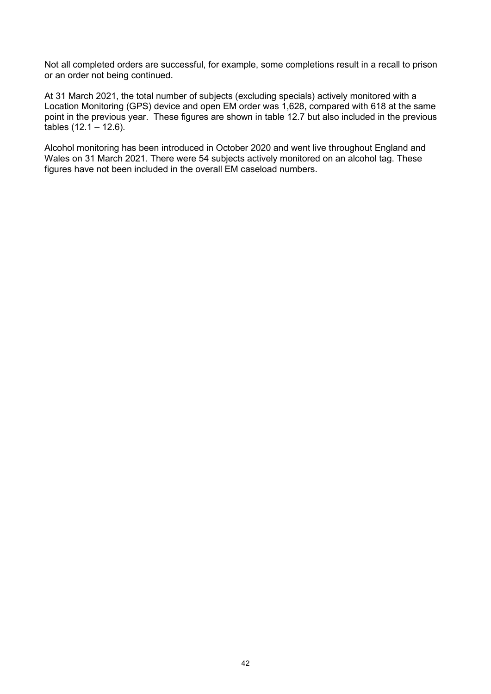Not all completed orders are successful, for example, some completions result in a recall to prison or an order not being continued.

At 31 March 2021, the total number of subjects (excluding specials) actively monitored with a Location Monitoring (GPS) device and open EM order was 1,628, compared with 618 at the same point in the previous year. These figures are shown in table 12.7 but also included in the previous tables (12.1 – 12.6).

Alcohol monitoring has been introduced in October 2020 and went live throughout England and Wales on 31 March 2021. There were 54 subjects actively monitored on an alcohol tag. These figures have not been included in the overall EM caseload numbers.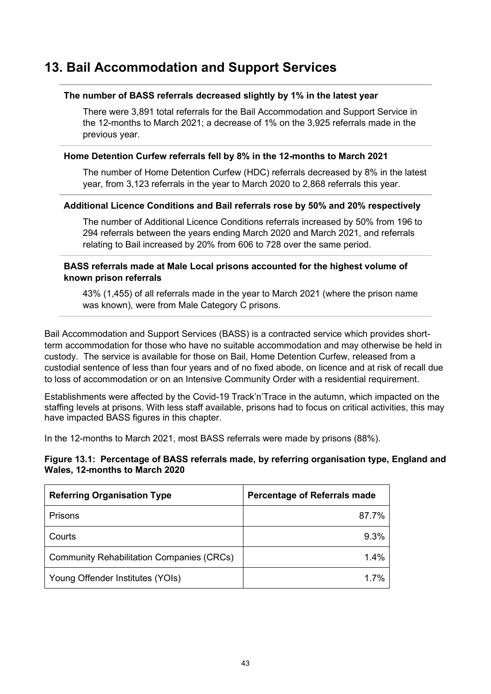# <span id="page-42-0"></span>**13. Bail Accommodation and Support Services**

#### **The number of BASS referrals decreased slightly by 1% in the latest year**

There were 3,891 total referrals for the Bail Accommodation and Support Service in the 12-months to March 2021; a decrease of 1% on the 3,925 referrals made in the previous year.

#### **Home Detention Curfew referrals fell by 8% in the 12-months to March 2021**

The number of Home Detention Curfew (HDC) referrals decreased by 8% in the latest year, from 3,123 referrals in the year to March 2020 to 2,868 referrals this year.

#### **Additional Licence Conditions and Bail referrals rose by 50% and 20% respectively**

The number of Additional Licence Conditions referrals increased by 50% from 196 to 294 referrals between the years ending March 2020 and March 2021, and referrals relating to Bail increased by 20% from 606 to 728 over the same period.

#### **BASS referrals made at Male Local prisons accounted for the highest volume of known prison referrals**

43% (1,455) of all referrals made in the year to March 2021 (where the prison name was known), were from Male Category C prisons.

Bail Accommodation and Support Services (BASS) is a contracted service which provides shortterm accommodation for those who have no suitable accommodation and may otherwise be held in custody. The service is available for those on Bail, Home Detention Curfew, released from a custodial sentence of less than four years and of no fixed abode, on licence and at risk of recall due to loss of accommodation or on an Intensive Community Order with a residential requirement.

Establishments were affected by the Covid-19 Track'n'Trace in the autumn, which impacted on the staffing levels at prisons. With less staff available, prisons had to focus on critical activities, this may have impacted BASS figures in this chapter.

In the 12-months to March 2021, most BASS referrals were made by prisons (88%).

#### **Figure 13.1: Percentage of BASS referrals made, by referring organisation type, England and Wales, 12-months to March 2020**

| <b>Referring Organisation Type</b>               | <b>Percentage of Referrals made</b> |
|--------------------------------------------------|-------------------------------------|
| Prisons                                          | 87.7%                               |
| Courts                                           | 9.3%                                |
| <b>Community Rehabilitation Companies (CRCs)</b> | $1.4\%$                             |
| Young Offender Institutes (YOIs)                 | 17%                                 |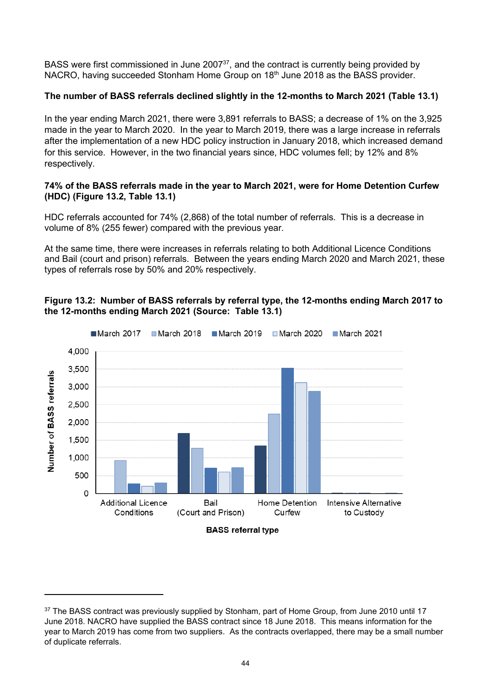BASS were first commissioned in June 2007<sup>37</sup>, and the contract is currently being provided by NACRO, having succeeded Stonham Home Group on 18<sup>th</sup> June 2018 as the BASS provider.

### **The number of BASS referrals declined slightly in the 12-months to March 2021 (Table 13.1)**

In the year ending March 2021, there were 3,891 referrals to BASS; a decrease of 1% on the 3,925 made in the year to March 2020. In the year to March 2019, there was a large increase in referrals after the implementation of a new HDC policy instruction in January 2018, which increased demand for this service. However, in the two financial years since, HDC volumes fell; by 12% and 8% respectively.

#### **74% of the BASS referrals made in the year to March 2021, were for Home Detention Curfew (HDC) (Figure 13.2, Table 13.1)**

HDC referrals accounted for 74% (2,868) of the total number of referrals. This is a decrease in volume of 8% (255 fewer) compared with the previous year.

At the same time, there were increases in referrals relating to both Additional Licence Conditions and Bail (court and prison) referrals. Between the years ending March 2020 and March 2021, these types of referrals rose by 50% and 20% respectively.





<sup>&</sup>lt;sup>37</sup> The BASS contract was previously supplied by Stonham, part of Home Group, from June 2010 until 17 June 2018. NACRO have supplied the BASS contract since 18 June 2018. This means information for the year to March 2019 has come from two suppliers. As the contracts overlapped, there may be a small number of duplicate referrals.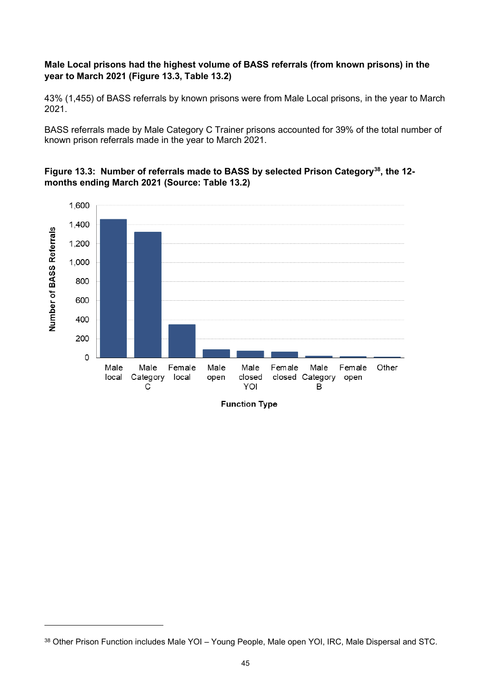### **Male Local prisons had the highest volume of BASS referrals (from known prisons) in the year to March 2021 (Figure 13.3, Table 13.2)**

43% (1,455) of BASS referrals by known prisons were from Male Local prisons, in the year to March 2021.

BASS referrals made by Male Category C Trainer prisons accounted for 39% of the total number of known prison referrals made in the year to March 2021.

#### **Figure 13.3: Number of referrals made to BASS by selected Prison Category<sup>38</sup>, the 12 months ending March 2021 (Source: Table 13.2)**



<sup>38</sup> Other Prison Function includes Male YOI – Young People, Male open YOI, IRC, Male Dispersal and STC.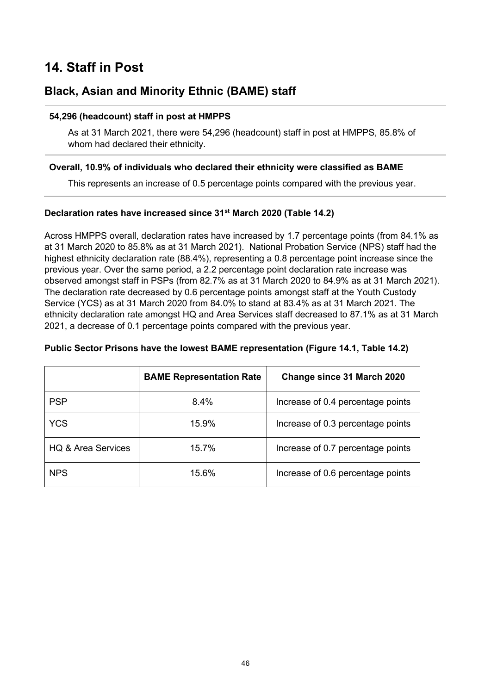# <span id="page-45-0"></span>**14. Staff in Post**

# **Black, Asian and Minority Ethnic (BAME) staff**

#### **54,296 (headcount) staff in post at HMPPS**

As at 31 March 2021, there were 54,296 (headcount) staff in post at HMPPS, 85.8% of whom had declared their ethnicity.

#### **Overall, 10.9% of individuals who declared their ethnicity were classified as BAME**

This represents an increase of 0.5 percentage points compared with the previous year.

### **Declaration rates have increased since 31st March 2020 (Table 14.2)**

Across HMPPS overall, declaration rates have increased by 1.7 percentage points (from 84.1% as at 31 March 2020 to 85.8% as at 31 March 2021). National Probation Service (NPS) staff had the highest ethnicity declaration rate (88.4%), representing a 0.8 percentage point increase since the previous year. Over the same period, a 2.2 percentage point declaration rate increase was observed amongst staff in PSPs (from 82.7% as at 31 March 2020 to 84.9% as at 31 March 2021). The declaration rate decreased by 0.6 percentage points amongst staff at the Youth Custody Service (YCS) as at 31 March 2020 from 84.0% to stand at 83.4% as at 31 March 2021. The ethnicity declaration rate amongst HQ and Area Services staff decreased to 87.1% as at 31 March 2021, a decrease of 0.1 percentage points compared with the previous year.

|                    | <b>BAME Representation Rate</b> | Change since 31 March 2020        |
|--------------------|---------------------------------|-----------------------------------|
| <b>PSP</b>         | 8.4%                            | Increase of 0.4 percentage points |
| <b>YCS</b>         | 15.9%                           | Increase of 0.3 percentage points |
| HQ & Area Services | 15.7%                           | Increase of 0.7 percentage points |
| <b>NPS</b>         | 15.6%                           | Increase of 0.6 percentage points |

#### **Public Sector Prisons have the lowest BAME representation (Figure 14.1, Table 14.2)**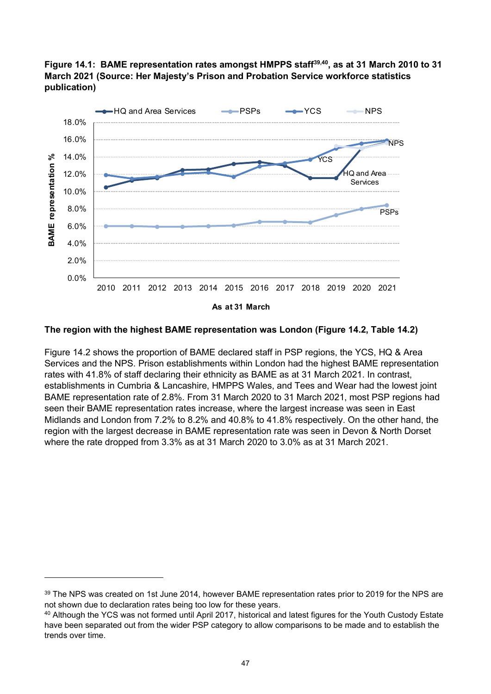# **Figure 14.1: BAME representation rates amongst HMPPS staff39,40, as at 31 March 2010 to 31 March 2021 (Source: Her Majesty's Prison and Probation Service workforce statistics publication)**



#### **The region with the highest BAME representation was London (Figure 14.2, Table 14.2)**

Figure 14.2 shows the proportion of BAME declared staff in PSP regions, the YCS, HQ & Area Services and the NPS. Prison establishments within London had the highest BAME representation rates with 41.8% of staff declaring their ethnicity as BAME as at 31 March 2021. In contrast, establishments in Cumbria & Lancashire, HMPPS Wales, and Tees and Wear had the lowest joint BAME representation rate of 2.8%. From 31 March 2020 to 31 March 2021, most PSP regions had seen their BAME representation rates increase, where the largest increase was seen in East Midlands and London from 7.2% to 8.2% and 40.8% to 41.8% respectively. On the other hand, the region with the largest decrease in BAME representation rate was seen in Devon & North Dorset where the rate dropped from 3.3% as at 31 March 2020 to 3.0% as at 31 March 2021.

<sup>&</sup>lt;sup>39</sup> The NPS was created on 1st June 2014, however BAME representation rates prior to 2019 for the NPS are not shown due to declaration rates being too low for these years.

<sup>40</sup> Although the YCS was not formed until April 2017, historical and latest figures for the Youth Custody Estate have been separated out from the wider PSP category to allow comparisons to be made and to establish the trends over time.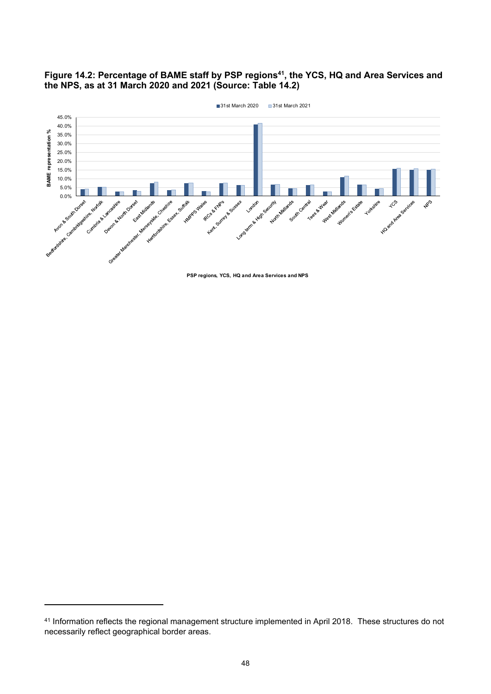



**PSP regions, YCS, HQ and Area Services and NPS**

<sup>&</sup>lt;sup>41</sup> Information reflects the regional management structure implemented in April 2018. These structures do not necessarily reflect geographical border areas.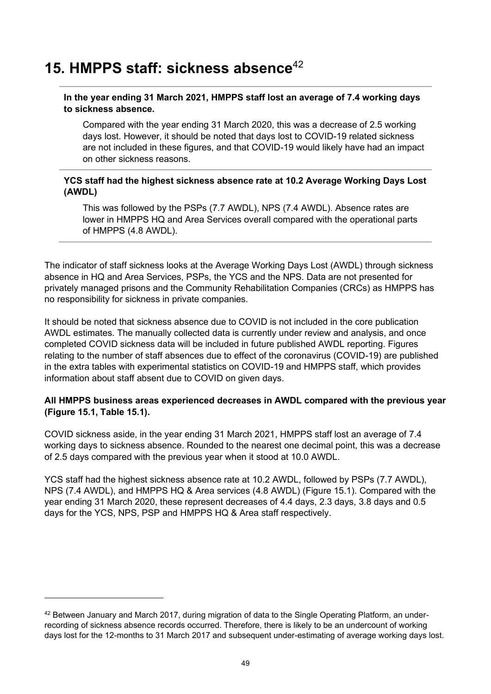# <span id="page-48-0"></span>**15. HMPPS staff: sickness absence**<sup>42</sup>

### **In the year ending 31 March 2021, HMPPS staff lost an average of 7.4 working days to sickness absence.**

Compared with the year ending 31 March 2020, this was a decrease of 2.5 working days lost. However, it should be noted that days lost to COVID-19 related sickness are not included in these figures, and that COVID-19 would likely have had an impact on other sickness reasons.

### **YCS staff had the highest sickness absence rate at 10.2 Average Working Days Lost (AWDL)**

This was followed by the PSPs (7.7 AWDL), NPS (7.4 AWDL). Absence rates are lower in HMPPS HQ and Area Services overall compared with the operational parts of HMPPS (4.8 AWDL).

The indicator of staff sickness looks at the Average Working Days Lost (AWDL) through sickness absence in HQ and Area Services, PSPs, the YCS and the NPS. Data are not presented for privately managed prisons and the Community Rehabilitation Companies (CRCs) as HMPPS has no responsibility for sickness in private companies.

It should be noted that sickness absence due to COVID is not included in the core publication AWDL estimates. The manually collected data is currently under review and analysis, and once completed COVID sickness data will be included in future published AWDL reporting. Figures relating to the number of staff absences due to effect of the coronavirus (COVID-19) are published in the extra tables with experimental statistics on COVID-19 and HMPPS staff, which provides information about staff absent due to COVID on given days.

# **All HMPPS business areas experienced decreases in AWDL compared with the previous year (Figure 15.1, Table 15.1).**

COVID sickness aside, in the year ending 31 March 2021, HMPPS staff lost an average of 7.4 working days to sickness absence. Rounded to the nearest one decimal point, this was a decrease of 2.5 days compared with the previous year when it stood at 10.0 AWDL.

YCS staff had the highest sickness absence rate at 10.2 AWDL, followed by PSPs (7.7 AWDL), NPS (7.4 AWDL), and HMPPS HQ & Area services (4.8 AWDL) (Figure 15.1). Compared with the year ending 31 March 2020, these represent decreases of 4.4 days, 2.3 days, 3.8 days and 0.5 days for the YCS, NPS, PSP and HMPPS HQ & Area staff respectively.

<sup>42</sup> Between January and March 2017, during migration of data to the Single Operating Platform, an underrecording of sickness absence records occurred. Therefore, there is likely to be an undercount of working days lost for the 12-months to 31 March 2017 and subsequent under-estimating of average working days lost.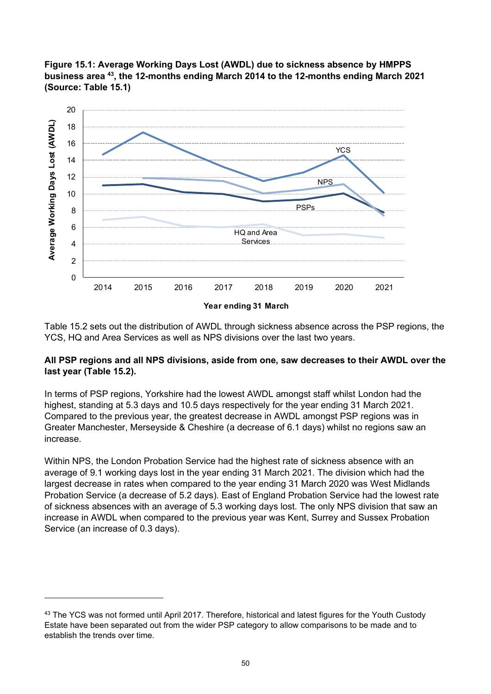



Table 15.2 sets out the distribution of AWDL through sickness absence across the PSP regions, the YCS, HQ and Area Services as well as NPS divisions over the last two years.

#### **All PSP regions and all NPS divisions, aside from one, saw decreases to their AWDL over the last year (Table 15.2).**

In terms of PSP regions, Yorkshire had the lowest AWDL amongst staff whilst London had the highest, standing at 5.3 days and 10.5 days respectively for the year ending 31 March 2021. Compared to the previous year, the greatest decrease in AWDL amongst PSP regions was in Greater Manchester, Merseyside & Cheshire (a decrease of 6.1 days) whilst no regions saw an increase.

Within NPS, the London Probation Service had the highest rate of sickness absence with an average of 9.1 working days lost in the year ending 31 March 2021. The division which had the largest decrease in rates when compared to the year ending 31 March 2020 was West Midlands Probation Service (a decrease of 5.2 days). East of England Probation Service had the lowest rate of sickness absences with an average of 5.3 working days lost. The only NPS division that saw an increase in AWDL when compared to the previous year was Kent, Surrey and Sussex Probation Service (an increase of 0.3 days).

<sup>43</sup> The YCS was not formed until April 2017. Therefore, historical and latest figures for the Youth Custody Estate have been separated out from the wider PSP category to allow comparisons to be made and to establish the trends over time.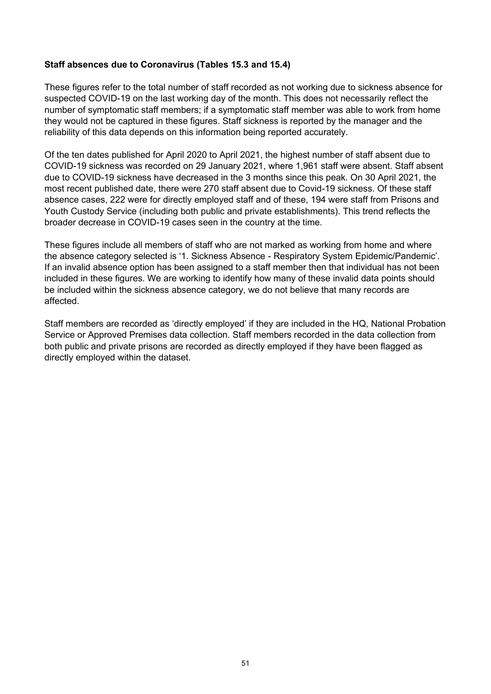## **Staff absences due to Coronavirus (Tables 15.3 and 15.4)**

These figures refer to the total number of staff recorded as not working due to sickness absence for suspected COVID-19 on the last working day of the month. This does not necessarily reflect the number of symptomatic staff members; if a symptomatic staff member was able to work from home they would not be captured in these figures. Staff sickness is reported by the manager and the reliability of this data depends on this information being reported accurately.

Of the ten dates published for April 2020 to April 2021, the highest number of staff absent due to COVID-19 sickness was recorded on 29 January 2021, where 1,961 staff were absent. Staff absent due to COVID-19 sickness have decreased in the 3 months since this peak. On 30 April 2021, the most recent published date, there were 270 staff absent due to Covid-19 sickness. Of these staff absence cases, 222 were for directly employed staff and of these, 194 were staff from Prisons and Youth Custody Service (including both public and private establishments). This trend reflects the broader decrease in COVID-19 cases seen in the country at the time.

These figures include all members of staff who are not marked as working from home and where the absence category selected is '1. Sickness Absence - Respiratory System Epidemic/Pandemic'. If an invalid absence option has been assigned to a staff member then that individual has not been included in these figures. We are working to identify how many of these invalid data points should be included within the sickness absence category, we do not believe that many records are affected.

Staff members are recorded as 'directly employed' if they are included in the HQ, National Probation Service or Approved Premises data collection. Staff members recorded in the data collection from both public and private prisons are recorded as directly employed if they have been flagged as directly employed within the dataset.